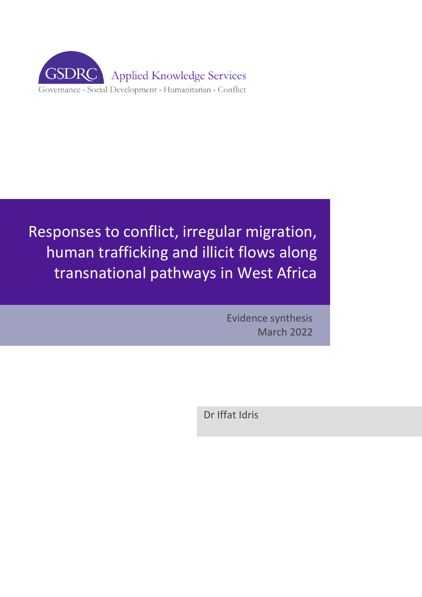

# Responses to conflict, irregular migration, human trafficking and illicit flows along transnational pathways in West Africa

Evidence synthesis March 2022

Dr Iffat Idris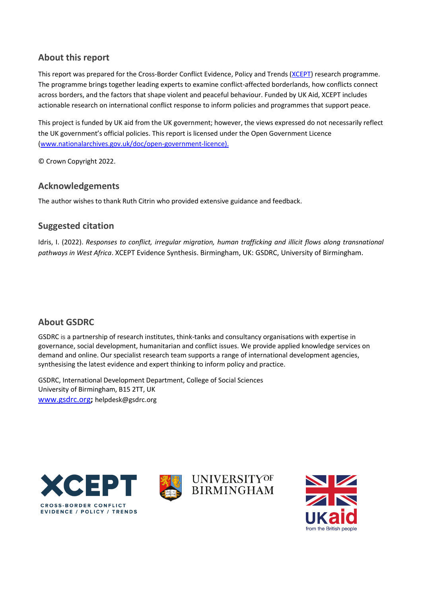## **About this report**

This report was prepared for the Cross-Border Conflict Evidence, Policy and Trends [\(XCEPT\)](https://nam02.safelinks.protection.outlook.com/?url=https%3A%2F%2Fxcept-research.org%2F&data=04%7C01%7Ccderivaz%40xcept-research.org%7C2df1bc2a53834f87765c08d9194bd97e%7C7c1f24a67d39452c82370726e3b19a73%7C0%7C0%7C637568635832912789%7CUnknown%7CTWFpbGZsb3d8eyJWIjoiMC4wLjAwMDAiLCJQIjoiV2luMzIiLCJBTiI6Ik1haWwiLCJXVCI6Mn0%3D%7C1000&sdata=zthpk%2FW8j5ptfFpt2a6LVwo0hxU%2BF%2Be3imQ%2Fjr0%2Fnek%3D&reserved=0) research programme. The programme brings together leading experts to examine conflict-affected borderlands, how conflicts connect across borders, and the factors that shape violent and peaceful behaviour. Funded by UK Aid, XCEPT includes actionable research on international conflict response to inform policies and programmes that support peace.

This project is funded by UK aid from the UK government; however, the views expressed do not necessarily reflect the UK government's official policies. This report is licensed under the Open Government Licence [\(www.nationalarchives.gov.uk/doc/open-government-licence\)](http://www.nationalarchives.gov.uk/doc/open-government-licence).

© Crown Copyright 2022.

## **Acknowledgements**

The author wishes to thank Ruth Citrin who provided extensive guidance and feedback.

## **Suggested citation**

Idris, I. (2022). *Responses to conflict, irregular migration, human trafficking and illicit flows along transnational pathways in West Africa*. XCEPT Evidence Synthesis. Birmingham, UK: GSDRC, University of Birmingham.

## **About GSDRC**

GSDRC is a partnership of research institutes, think-tanks and consultancy organisations with expertise in governance, social development, humanitarian and conflict issues. We provide applied knowledge services on demand and online. Our specialist research team supports a range of international development agencies, synthesising the latest evidence and expert thinking to inform policy and practice.

GSDRC, International Development Department, College of Social Sciences University of Birmingham, B15 2TT, UK [www.gsdrc.org](http://www.gsdrc.org/)**;** [helpdesk@gsdrc.org](mailto:helpdesk@gsdrc.org)







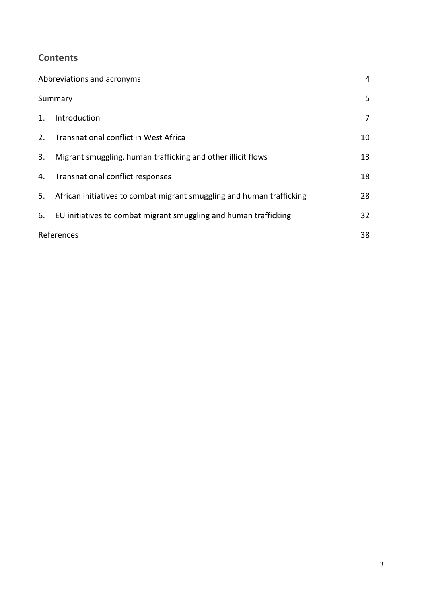## **Contents**

| Abbreviations and acronyms |                                                                       |                |
|----------------------------|-----------------------------------------------------------------------|----------------|
| Summary                    |                                                                       | 5              |
| 1.                         | Introduction                                                          | $\overline{7}$ |
| 2.                         | Transnational conflict in West Africa                                 | 10             |
| 3.                         | Migrant smuggling, human trafficking and other illicit flows          | 13             |
| 4.                         | Transnational conflict responses                                      | 18             |
| 5.                         | African initiatives to combat migrant smuggling and human trafficking | 28             |
| 6.                         | EU initiatives to combat migrant smuggling and human trafficking      | 32             |
| References                 |                                                                       | 38             |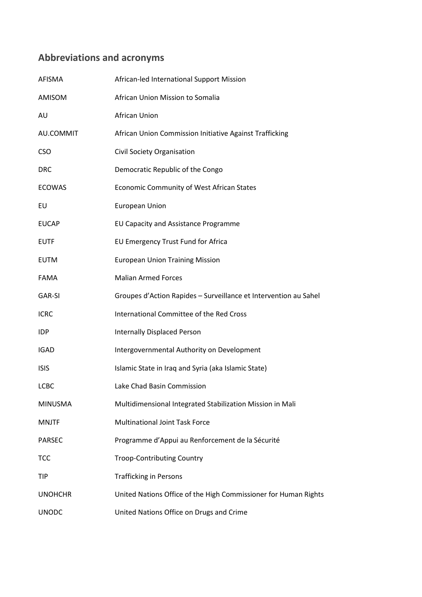## <span id="page-3-0"></span>**Abbreviations and acronyms**

| AFISMA         | African-led International Support Mission                        |
|----------------|------------------------------------------------------------------|
| AMISOM         | African Union Mission to Somalia                                 |
| AU             | <b>African Union</b>                                             |
| AU.COMMIT      | African Union Commission Initiative Against Trafficking          |
| <b>CSO</b>     | Civil Society Organisation                                       |
| <b>DRC</b>     | Democratic Republic of the Congo                                 |
| <b>ECOWAS</b>  | <b>Economic Community of West African States</b>                 |
| EU             | <b>European Union</b>                                            |
| <b>EUCAP</b>   | EU Capacity and Assistance Programme                             |
| <b>EUTF</b>    | EU Emergency Trust Fund for Africa                               |
| <b>EUTM</b>    | <b>European Union Training Mission</b>                           |
| <b>FAMA</b>    | <b>Malian Armed Forces</b>                                       |
| GAR-SI         | Groupes d'Action Rapides - Surveillance et Intervention au Sahel |
| <b>ICRC</b>    | International Committee of the Red Cross                         |
| <b>IDP</b>     | <b>Internally Displaced Person</b>                               |
| <b>IGAD</b>    | Intergovernmental Authority on Development                       |
| <b>ISIS</b>    | Islamic State in Iraq and Syria (aka Islamic State)              |
| <b>LCBC</b>    | Lake Chad Basin Commission                                       |
| <b>MINUSMA</b> | Multidimensional Integrated Stabilization Mission in Mali        |
| <b>MNJTF</b>   | <b>Multinational Joint Task Force</b>                            |
| <b>PARSEC</b>  | Programme d'Appui au Renforcement de la Sécurité                 |
| TCC            | <b>Troop-Contributing Country</b>                                |
| TIP            | <b>Trafficking in Persons</b>                                    |
| <b>UNOHCHR</b> | United Nations Office of the High Commissioner for Human Rights  |
| <b>UNODC</b>   | United Nations Office on Drugs and Crime                         |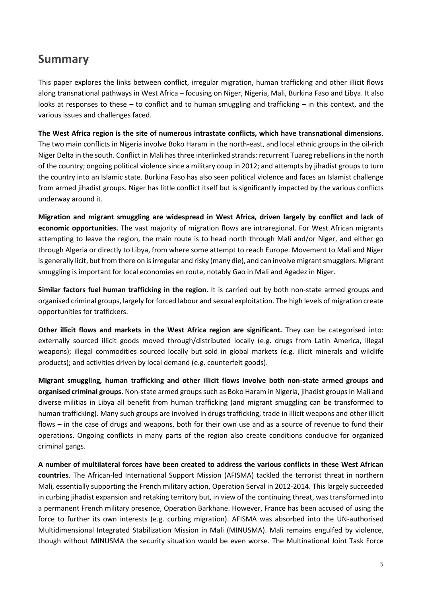## <span id="page-4-0"></span>**Summary**

This paper explores the links between conflict, irregular migration, human trafficking and other illicit flows along transnational pathways in West Africa – focusing on Niger, Nigeria, Mali, Burkina Faso and Libya. It also looks at responses to these – to conflict and to human smuggling and trafficking – in this context, and the various issues and challenges faced.

**The West Africa region is the site of numerous intrastate conflicts, which have transnational dimensions**. The two main conflicts in Nigeria involve Boko Haram in the north-east, and local ethnic groups in the oil-rich Niger Delta in the south. Conflict in Mali has three interlinked strands: recurrent Tuareg rebellions in the north of the country; ongoing political violence since a military coup in 2012; and attempts by jihadist groups to turn the country into an Islamic state. Burkina Faso has also seen political violence and faces an Islamist challenge from armed jihadist groups. Niger has little conflict itself but is significantly impacted by the various conflicts underway around it.

**Migration and migrant smuggling are widespread in West Africa, driven largely by conflict and lack of economic opportunities.** The vast majority of migration flows are intraregional. For West African migrants attempting to leave the region, the main route is to head north through Mali and/or Niger, and either go through Algeria or directly to Libya, from where some attempt to reach Europe. Movement to Mali and Niger is generally licit, but from there on is irregular and risky (many die), and can involve migrant smugglers. Migrant smuggling is important for local economies en route, notably Gao in Mali and Agadez in Niger.

**Similar factors fuel human trafficking in the region**. It is carried out by both non-state armed groups and organised criminal groups, largely for forced labour and sexual exploitation. The high levels of migration create opportunities for traffickers.

**Other illicit flows and markets in the West Africa region are significant.** They can be categorised into: externally sourced illicit goods moved through/distributed locally (e.g. drugs from Latin America, illegal weapons); illegal commodities sourced locally but sold in global markets (e.g. illicit minerals and wildlife products); and activities driven by local demand (e.g. counterfeit goods).

**Migrant smuggling, human trafficking and other illicit flows involve both non-state armed groups and organised criminal groups.** Non-state armed groups such as Boko Haram in Nigeria, jihadist groups in Mali and diverse militias in Libya all benefit from human trafficking (and migrant smuggling can be transformed to human trafficking). Many such groups are involved in drugs trafficking, trade in illicit weapons and other illicit flows – in the case of drugs and weapons, both for their own use and as a source of revenue to fund their operations. Ongoing conflicts in many parts of the region also create conditions conducive for organized criminal gangs.

**A number of multilateral forces have been created to address the various conflicts in these West African countries**. The African-led International Support Mission (AFISMA) tackled the terrorist threat in northern Mali, essentially supporting the French military action, Operation Serval in 2012-2014. This largely succeeded in curbing jihadist expansion and retaking territory but, in view of the continuing threat, was transformed into a permanent French military presence, Operation Barkhane. However, France has been accused of using the force to further its own interests (e.g. curbing migration). AFISMA was absorbed into the UN-authorised Multidimensional Integrated Stabilization Mission in Mali (MINUSMA). Mali remains engulfed by violence, though without MINUSMA the security situation would be even worse. The Multinational Joint Task Force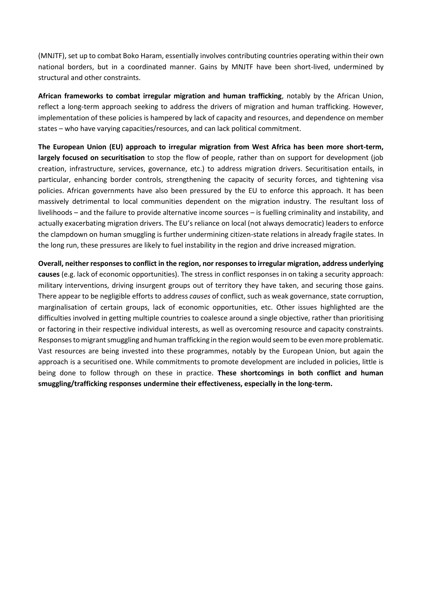(MNJTF), set up to combat Boko Haram, essentially involves contributing countries operating within their own national borders, but in a coordinated manner. Gains by MNJTF have been short-lived, undermined by structural and other constraints.

**African frameworks to combat irregular migration and human trafficking**, notably by the African Union, reflect a long-term approach seeking to address the drivers of migration and human trafficking. However, implementation of these policies is hampered by lack of capacity and resources, and dependence on member states – who have varying capacities/resources, and can lack political commitment.

**The European Union (EU) approach to irregular migration from West Africa has been more short-term, largely focused on securitisation** to stop the flow of people, rather than on support for development (job creation, infrastructure, services, governance, etc.) to address migration drivers. Securitisation entails, in particular, enhancing border controls, strengthening the capacity of security forces, and tightening visa policies. African governments have also been pressured by the EU to enforce this approach. It has been massively detrimental to local communities dependent on the migration industry. The resultant loss of livelihoods – and the failure to provide alternative income sources – is fuelling criminality and instability, and actually exacerbating migration drivers. The EU's reliance on local (not always democratic) leaders to enforce the clampdown on human smuggling is further undermining citizen-state relations in already fragile states. In the long run, these pressures are likely to fuel instability in the region and drive increased migration.

**Overall, neither responses to conflict in the region, nor responses to irregular migration, address underlying causes** (e.g. lack of economic opportunities). The stress in conflict responses in on taking a security approach: military interventions, driving insurgent groups out of territory they have taken, and securing those gains. There appear to be negligible efforts to address *causes* of conflict, such as weak governance, state corruption, marginalisation of certain groups, lack of economic opportunities, etc. Other issues highlighted are the difficulties involved in getting multiple countries to coalesce around a single objective, rather than prioritising or factoring in their respective individual interests, as well as overcoming resource and capacity constraints. Responses to migrant smuggling and human trafficking in the region would seem to be even more problematic. Vast resources are being invested into these programmes, notably by the European Union, but again the approach is a securitised one. While commitments to promote development are included in policies, little is being done to follow through on these in practice. **These shortcomings in both conflict and human smuggling/trafficking responses undermine their effectiveness, especially in the long-term.**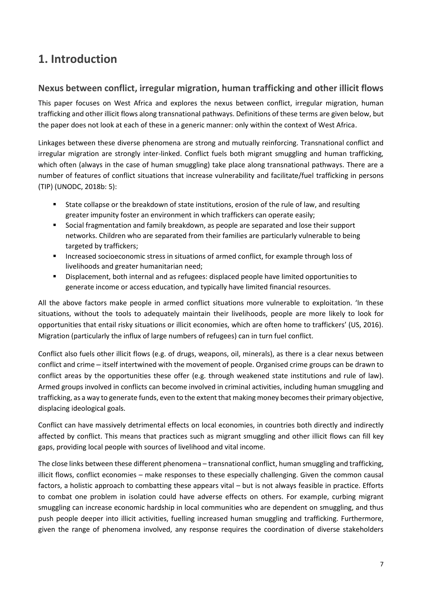# <span id="page-6-0"></span>**1. Introduction**

## **Nexus between conflict, irregular migration, human trafficking and other illicit flows**

This paper focuses on West Africa and explores the nexus between conflict, irregular migration, human trafficking and other illicit flows along transnational pathways. Definitions of these terms are given below, but the paper does not look at each of these in a generic manner: only within the context of West Africa.

Linkages between these diverse phenomena are strong and mutually reinforcing. Transnational conflict and irregular migration are strongly inter-linked. Conflict fuels both migrant smuggling and human trafficking, which often (always in the case of human smuggling) take place along transnational pathways. There are a number of features of conflict situations that increase vulnerability and facilitate/fuel trafficking in persons (TIP) (UNODC, 2018b: 5):

- State collapse or the breakdown of state institutions, erosion of the rule of law, and resulting greater impunity foster an environment in which traffickers can operate easily;
- Social fragmentation and family breakdown, as people are separated and lose their support networks. Children who are separated from their families are particularly vulnerable to being targeted by traffickers;
- **■** Increased socioeconomic stress in situations of armed conflict, for example through loss of livelihoods and greater humanitarian need;
- Displacement, both internal and as refugees: displaced people have limited opportunities to generate income or access education, and typically have limited financial resources.

All the above factors make people in armed conflict situations more vulnerable to exploitation. 'In these situations, without the tools to adequately maintain their livelihoods, people are more likely to look for opportunities that entail risky situations or illicit economies, which are often home to traffickers' (US, 2016). Migration (particularly the influx of large numbers of refugees) can in turn fuel conflict.

Conflict also fuels other illicit flows (e.g. of drugs, weapons, oil, minerals), as there is a clear nexus between conflict and crime – itself intertwined with the movement of people. Organised crime groups can be drawn to conflict areas by the opportunities these offer (e.g. through weakened state institutions and rule of law). Armed groups involved in conflicts can become involved in criminal activities, including human smuggling and trafficking, as a way to generate funds, even to the extent that making money becomes their primary objective, displacing ideological goals.

Conflict can have massively detrimental effects on local economies, in countries both directly and indirectly affected by conflict. This means that practices such as migrant smuggling and other illicit flows can fill key gaps, providing local people with sources of livelihood and vital income.

The close links between these different phenomena – transnational conflict, human smuggling and trafficking, illicit flows, conflict economies – make responses to these especially challenging. Given the common causal factors, a holistic approach to combatting these appears vital – but is not always feasible in practice. Efforts to combat one problem in isolation could have adverse effects on others. For example, curbing migrant smuggling can increase economic hardship in local communities who are dependent on smuggling, and thus push people deeper into illicit activities, fuelling increased human smuggling and trafficking. Furthermore, given the range of phenomena involved, any response requires the coordination of diverse stakeholders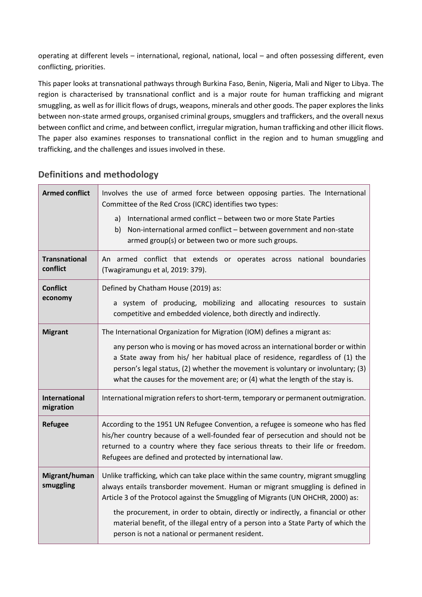operating at different levels – international, regional, national, local – and often possessing different, even conflicting, priorities.

This paper looks at transnational pathways through Burkina Faso, Benin, Nigeria, Mali and Niger to Libya. The region is characterised by transnational conflict and is a major route for human trafficking and migrant smuggling, as well as for illicit flows of drugs, weapons, minerals and other goods. The paper explores the links between non-state armed groups, organised criminal groups, smugglers and traffickers, and the overall nexus between conflict and crime, and between conflict, irregular migration, human trafficking and other illicit flows. The paper also examines responses to transnational conflict in the region and to human smuggling and trafficking, and the challenges and issues involved in these.

| <b>Armed conflict</b>             | Involves the use of armed force between opposing parties. The International<br>Committee of the Red Cross (ICRC) identifies two types:<br>International armed conflict - between two or more State Parties<br>a)<br>Non-international armed conflict - between government and non-state<br>b)<br>armed group(s) or between two or more such groups.                                                             |
|-----------------------------------|-----------------------------------------------------------------------------------------------------------------------------------------------------------------------------------------------------------------------------------------------------------------------------------------------------------------------------------------------------------------------------------------------------------------|
| <b>Transnational</b><br>conflict  | An armed conflict that extends or operates across national boundaries<br>(Twagiramungu et al, 2019: 379).                                                                                                                                                                                                                                                                                                       |
| <b>Conflict</b><br>economy        | Defined by Chatham House (2019) as:<br>a system of producing, mobilizing and allocating resources to sustain<br>competitive and embedded violence, both directly and indirectly.                                                                                                                                                                                                                                |
| <b>Migrant</b>                    | The International Organization for Migration (IOM) defines a migrant as:<br>any person who is moving or has moved across an international border or within<br>a State away from his/ her habitual place of residence, regardless of (1) the<br>person's legal status, (2) whether the movement is voluntary or involuntary; (3)<br>what the causes for the movement are; or (4) what the length of the stay is. |
| <b>International</b><br>migration | International migration refers to short-term, temporary or permanent outmigration.                                                                                                                                                                                                                                                                                                                              |
| <b>Refugee</b>                    | According to the 1951 UN Refugee Convention, a refugee is someone who has fled<br>his/her country because of a well-founded fear of persecution and should not be<br>returned to a country where they face serious threats to their life or freedom.<br>Refugees are defined and protected by international law.                                                                                                |
| Migrant/human<br>smuggling        | Unlike trafficking, which can take place within the same country, migrant smuggling<br>always entails transborder movement. Human or migrant smuggling is defined in<br>Article 3 of the Protocol against the Smuggling of Migrants (UN OHCHR, 2000) as:                                                                                                                                                        |
|                                   | the procurement, in order to obtain, directly or indirectly, a financial or other<br>material benefit, of the illegal entry of a person into a State Party of which the<br>person is not a national or permanent resident.                                                                                                                                                                                      |

## **Definitions and methodology**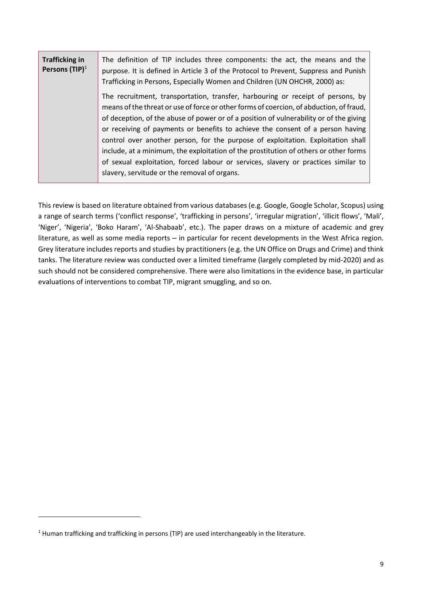| <b>Trafficking in</b><br>Persons $(TIP)^1$ | The definition of TIP includes three components: the act, the means and the<br>purpose. It is defined in Article 3 of the Protocol to Prevent, Suppress and Punish<br>Trafficking in Persons, Especially Women and Children (UN OHCHR, 2000) as: |
|--------------------------------------------|--------------------------------------------------------------------------------------------------------------------------------------------------------------------------------------------------------------------------------------------------|
|                                            | The recruitment, transportation, transfer, harbouring or receipt of persons, by<br>means of the threat or use of force or other forms of coercion, of abduction, of fraud,                                                                       |
|                                            | of deception, of the abuse of power or of a position of vulnerability or of the giving                                                                                                                                                           |
|                                            | or receiving of payments or benefits to achieve the consent of a person having<br>control over another person, for the purpose of exploitation. Exploitation shall                                                                               |
|                                            | include, at a minimum, the exploitation of the prostitution of others or other forms                                                                                                                                                             |
|                                            | of sexual exploitation, forced labour or services, slavery or practices similar to<br>slavery, servitude or the removal of organs.                                                                                                               |

This review is based on literature obtained from various databases (e.g. Google, Google Scholar, Scopus) using a range of search terms ('conflict response', 'trafficking in persons', 'irregular migration', 'illicit flows', 'Mali', 'Niger', 'Nigeria', 'Boko Haram', 'Al-Shabaab', etc.). The paper draws on a mixture of academic and grey literature, as well as some media reports – in particular for recent developments in the West Africa region. Grey literature includes reports and studies by practitioners (e.g. the UN Office on Drugs and Crime) and think tanks. The literature review was conducted over a limited timeframe (largely completed by mid-2020) and as such should not be considered comprehensive. There were also limitations in the evidence base, in particular evaluations of interventions to combat TIP, migrant smuggling, and so on.

<sup>&</sup>lt;sup>1</sup> Human trafficking and trafficking in persons (TIP) are used interchangeably in the literature.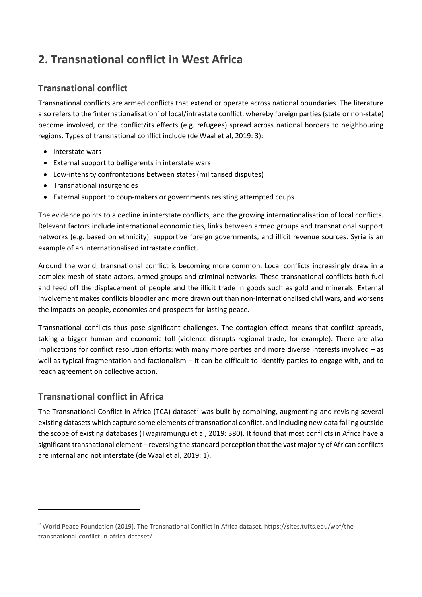# <span id="page-9-0"></span>**2. Transnational conflict in West Africa**

## **Transnational conflict**

Transnational conflicts are armed conflicts that extend or operate across national boundaries. The literature also refers to the 'internationalisation' of local/intrastate conflict, whereby foreign parties (state or non-state) become involved, or the conflict/its effects (e.g. refugees) spread across national borders to neighbouring regions. Types of transnational conflict include (de Waal et al, 2019: 3):

- Interstate wars
- External support to belligerents in interstate wars
- Low-intensity confrontations between states (militarised disputes)
- Transnational insurgencies
- External support to coup-makers or governments resisting attempted coups.

The evidence points to a decline in interstate conflicts, and the growing internationalisation of local conflicts. Relevant factors include international economic ties, links between armed groups and transnational support networks (e.g. based on ethnicity), supportive foreign governments, and illicit revenue sources. Syria is an example of an internationalised intrastate conflict.

Around the world, transnational conflict is becoming more common. Local conflicts increasingly draw in a complex mesh of state actors, armed groups and criminal networks. These transnational conflicts both fuel and feed off the displacement of people and the illicit trade in goods such as gold and minerals. External involvement makes conflicts bloodier and more drawn out than non-internationalised civil wars, and worsens the impacts on people, economies and prospects for lasting peace.

Transnational conflicts thus pose significant challenges. The contagion effect means that conflict spreads, taking a bigger human and economic toll (violence disrupts regional trade, for example). There are also implications for conflict resolution efforts: with many more parties and more diverse interests involved – as well as typical fragmentation and factionalism – it can be difficult to identify parties to engage with, and to reach agreement on collective action.

## **Transnational conflict in Africa**

The Transnational Conflict in Africa (TCA) dataset<sup>2</sup> was built by combining, augmenting and revising several existing datasets which capture some elements of transnational conflict, and including new data falling outside the scope of existing databases (Twagiramungu et al, 2019: 380). It found that most conflicts in Africa have a significant transnational element – reversing the standard perception that the vast majority of African conflicts are internal and not interstate (de Waal et al, 2019: 1).

<sup>2</sup> World Peace Foundation (2019). The Transnational Conflict in Africa dataset. https://sites.tufts.edu/wpf/thetransnational-conflict-in-africa-dataset/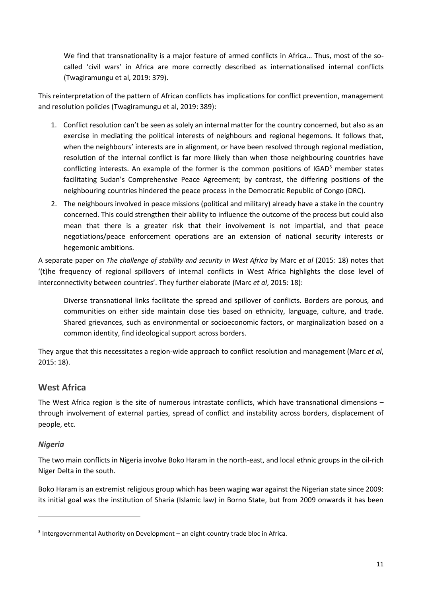We find that transnationality is a major feature of armed conflicts in Africa… Thus, most of the socalled 'civil wars' in Africa are more correctly described as internationalised internal conflicts (Twagiramungu et al, 2019: 379).

This reinterpretation of the pattern of African conflicts has implications for conflict prevention, management and resolution policies (Twagiramungu et al, 2019: 389):

- 1. Conflict resolution can't be seen as solely an internal matter for the country concerned, but also as an exercise in mediating the political interests of neighbours and regional hegemons. It follows that, when the neighbours' interests are in alignment, or have been resolved through regional mediation, resolution of the internal conflict is far more likely than when those neighbouring countries have conflicting interests. An example of the former is the common positions of  $IGAD<sup>3</sup>$  member states facilitating Sudan's Comprehensive Peace Agreement; by contrast, the differing positions of the neighbouring countries hindered the peace process in the Democratic Republic of Congo (DRC).
- 2. The neighbours involved in peace missions (political and military) already have a stake in the country concerned. This could strengthen their ability to influence the outcome of the process but could also mean that there is a greater risk that their involvement is not impartial, and that peace negotiations/peace enforcement operations are an extension of national security interests or hegemonic ambitions.

A separate paper on *The challenge of stability and security in West Africa* by Marc *et al* (2015: 18) notes that '(t)he frequency of regional spillovers of internal conflicts in West Africa highlights the close level of interconnectivity between countries'. They further elaborate (Marc *et al*, 2015: 18):

Diverse transnational links facilitate the spread and spillover of conflicts. Borders are porous, and communities on either side maintain close ties based on ethnicity, language, culture, and trade. Shared grievances, such as environmental or socioeconomic factors, or marginalization based on a common identity, find ideological support across borders.

They argue that this necessitates a region-wide approach to conflict resolution and management (Marc *et al*, 2015: 18).

## **West Africa**

The West Africa region is the site of numerous intrastate conflicts, which have transnational dimensions – through involvement of external parties, spread of conflict and instability across borders, displacement of people, etc.

## *Nigeria*

The two main conflicts in Nigeria involve Boko Haram in the north-east, and local ethnic groups in the oil-rich Niger Delta in the south.

Boko Haram is an extremist religious group which has been waging war against the Nigerian state since 2009: its initial goal was the institution of Sharia (Islamic law) in Borno State, but from 2009 onwards it has been

<sup>3</sup> Intergovernmental Authority on Development – an eight-country trade bloc in Africa.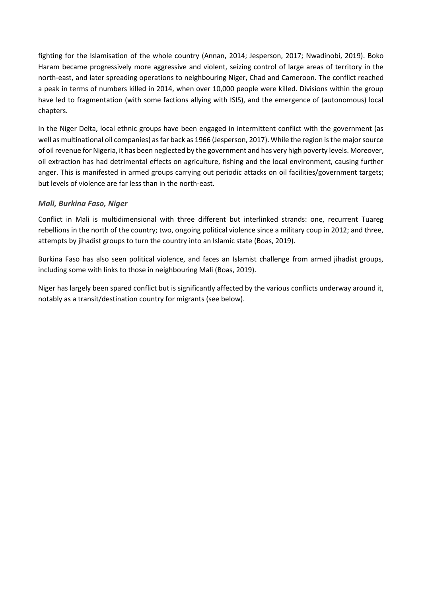fighting for the Islamisation of the whole country (Annan, 2014; Jesperson, 2017; Nwadinobi, 2019). Boko Haram became progressively more aggressive and violent, seizing control of large areas of territory in the north-east, and later spreading operations to neighbouring Niger, Chad and Cameroon. The conflict reached a peak in terms of numbers killed in 2014, when over 10,000 people were killed. Divisions within the group have led to fragmentation (with some factions allying with ISIS), and the emergence of (autonomous) local chapters.

In the Niger Delta, local ethnic groups have been engaged in intermittent conflict with the government (as well as multinational oil companies) as far back as 1966 (Jesperson, 2017). While the region is the major source of oil revenue for Nigeria, it has been neglected by the government and has very high poverty levels. Moreover, oil extraction has had detrimental effects on agriculture, fishing and the local environment, causing further anger. This is manifested in armed groups carrying out periodic attacks on oil facilities/government targets; but levels of violence are far less than in the north-east.

#### *Mali, Burkina Faso, Niger*

Conflict in Mali is multidimensional with three different but interlinked strands: one, recurrent Tuareg rebellions in the north of the country; two, ongoing political violence since a military coup in 2012; and three, attempts by jihadist groups to turn the country into an Islamic state (Boas, 2019).

Burkina Faso has also seen political violence, and faces an Islamist challenge from armed jihadist groups, including some with links to those in neighbouring Mali (Boas, 2019).

Niger has largely been spared conflict but is significantly affected by the various conflicts underway around it, notably as a transit/destination country for migrants (see below).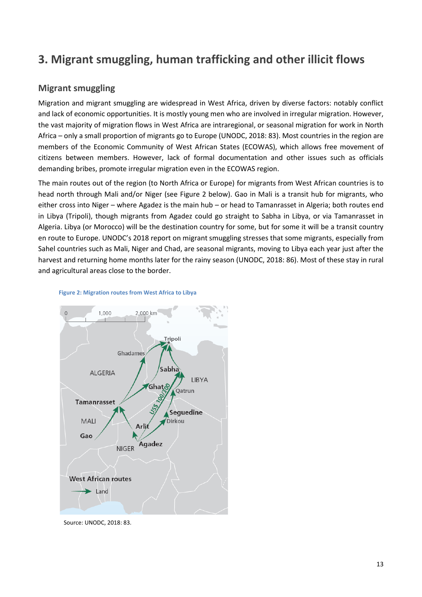# <span id="page-12-0"></span>**3. Migrant smuggling, human trafficking and other illicit flows**

## **Migrant smuggling**

Migration and migrant smuggling are widespread in West Africa, driven by diverse factors: notably conflict and lack of economic opportunities. It is mostly young men who are involved in irregular migration. However, the vast majority of migration flows in West Africa are intraregional, or seasonal migration for work in North Africa – only a small proportion of migrants go to Europe (UNODC, 2018: 83). Most countries in the region are members of the Economic Community of West African States (ECOWAS), which allows free movement of citizens between members. However, lack of formal documentation and other issues such as officials demanding bribes, promote irregular migration even in the ECOWAS region.

The main routes out of the region (to North Africa or Europe) for migrants from West African countries is to head north through Mali and/or Niger (see Figure 2 below). Gao in Mali is a transit hub for migrants, who either cross into Niger – where Agadez is the main hub – or head to Tamanrasset in Algeria; both routes end in Libya (Tripoli), though migrants from Agadez could go straight to Sabha in Libya, or via Tamanrasset in Algeria. Libya (or Morocco) will be the destination country for some, but for some it will be a transit country en route to Europe. UNODC's 2018 report on migrant smuggling stresses that some migrants, especially from Sahel countries such as Mali, Niger and Chad, are seasonal migrants, moving to Libya each year just after the harvest and returning home months later for the rainy season (UNODC, 2018: 86). Most of these stay in rural and agricultural areas close to the border.





Source: UNODC, 2018: 83.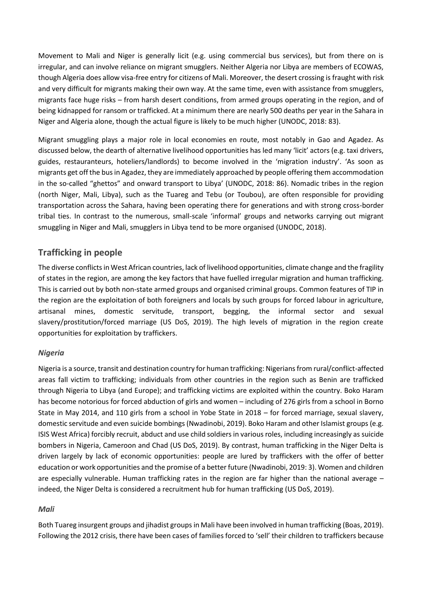Movement to Mali and Niger is generally licit (e.g. using commercial bus services), but from there on is irregular, and can involve reliance on migrant smugglers. Neither Algeria nor Libya are members of ECOWAS, though Algeria does allow visa-free entry for citizens of Mali. Moreover, the desert crossing is fraught with risk and very difficult for migrants making their own way. At the same time, even with assistance from smugglers, migrants face huge risks – from harsh desert conditions, from armed groups operating in the region, and of being kidnapped for ransom or trafficked. At a minimum there are nearly 500 deaths per year in the Sahara in Niger and Algeria alone, though the actual figure is likely to be much higher (UNODC, 2018: 83).

Migrant smuggling plays a major role in local economies en route, most notably in Gao and Agadez. As discussed below, the dearth of alternative livelihood opportunities has led many 'licit' actors (e.g. taxi drivers, guides, restauranteurs, hoteliers/landlords) to become involved in the 'migration industry'. 'As soon as migrants get off the bus in Agadez, they are immediately approached by people offering them accommodation in the so-called "ghettos" and onward transport to Libya' (UNODC, 2018: 86). Nomadic tribes in the region (north Niger, Mali, Libya), such as the Tuareg and Tebu (or Toubou), are often responsible for providing transportation across the Sahara, having been operating there for generations and with strong cross-border tribal ties. In contrast to the numerous, small-scale 'informal' groups and networks carrying out migrant smuggling in Niger and Mali, smugglers in Libya tend to be more organised (UNODC, 2018).

## **Trafficking in people**

The diverse conflicts in West African countries, lack of livelihood opportunities, climate change and the fragility of states in the region, are among the key factors that have fuelled irregular migration and human trafficking. This is carried out by both non-state armed groups and organised criminal groups. Common features of TIP in the region are the exploitation of both foreigners and locals by such groups for forced labour in agriculture, artisanal mines, domestic servitude, transport, begging, the informal sector and sexual slavery/prostitution/forced marriage (US DoS, 2019). The high levels of migration in the region create opportunities for exploitation by traffickers.

## *Nigeria*

Nigeria is a source, transit and destination country for human trafficking: Nigerians from rural/conflict-affected areas fall victim to trafficking; individuals from other countries in the region such as Benin are trafficked through Nigeria to Libya (and Europe); and trafficking victims are exploited within the country. Boko Haram has become notorious for forced abduction of girls and women – including of 276 girls from a school in Borno State in May 2014, and 110 girls from a school in Yobe State in 2018 – for forced marriage, sexual slavery, domestic servitude and even suicide bombings (Nwadinobi, 2019). Boko Haram and other Islamist groups (e.g. ISIS West Africa) forcibly recruit, abduct and use child soldiers in various roles, including increasingly as suicide bombers in Nigeria, Cameroon and Chad (US DoS, 2019). By contrast, human trafficking in the Niger Delta is driven largely by lack of economic opportunities: people are lured by traffickers with the offer of better education or work opportunities and the promise of a better future (Nwadinobi, 2019: 3). Women and children are especially vulnerable. Human trafficking rates in the region are far higher than the national average – indeed, the Niger Delta is considered a recruitment hub for human trafficking (US DoS, 2019).

## *Mali*

Both Tuareg insurgent groups and jihadist groups in Mali have been involved in human trafficking (Boas, 2019). Following the 2012 crisis, there have been cases of families forced to 'sell' their children to traffickers because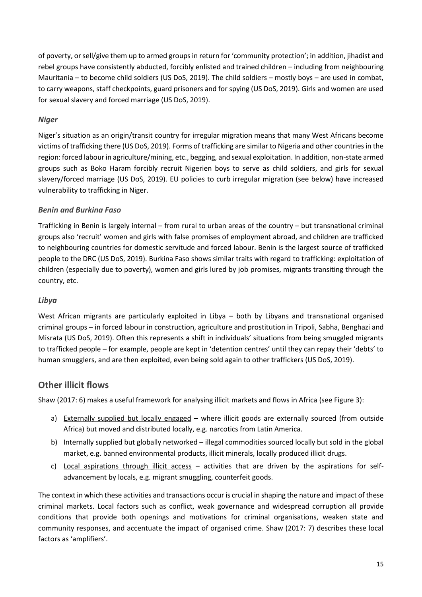of poverty, or sell/give them up to armed groups in return for 'community protection'; in addition, jihadist and rebel groups have consistently abducted, forcibly enlisted and trained children – including from neighbouring Mauritania – to become child soldiers (US DoS, 2019). The child soldiers – mostly boys – are used in combat, to carry weapons, staff checkpoints, guard prisoners and for spying (US DoS, 2019). Girls and women are used for sexual slavery and forced marriage (US DoS, 2019).

## *Niger*

Niger's situation as an origin/transit country for irregular migration means that many West Africans become victims of trafficking there (US DoS, 2019). Forms of trafficking are similar to Nigeria and other countries in the region: forced labour in agriculture/mining, etc., begging, and sexual exploitation. In addition, non-state armed groups such as Boko Haram forcibly recruit Nigerien boys to serve as child soldiers, and girls for sexual slavery/forced marriage (US DoS, 2019). EU policies to curb irregular migration (see below) have increased vulnerability to trafficking in Niger.

## *Benin and Burkina Faso*

Trafficking in Benin is largely internal – from rural to urban areas of the country – but transnational criminal groups also 'recruit' women and girls with false promises of employment abroad, and children are trafficked to neighbouring countries for domestic servitude and forced labour. Benin is the largest source of trafficked people to the DRC (US DoS, 2019). Burkina Faso shows similar traits with regard to trafficking: exploitation of children (especially due to poverty), women and girls lured by job promises, migrants transiting through the country, etc.

#### *Libya*

West African migrants are particularly exploited in Libya – both by Libyans and transnational organised criminal groups – in forced labour in construction, agriculture and prostitution in Tripoli, Sabha, Benghazi and Misrata (US DoS, 2019). Often this represents a shift in individuals' situations from being smuggled migrants to trafficked people – for example, people are kept in 'detention centres' until they can repay their 'debts' to human smugglers, and are then exploited, even being sold again to other traffickers (US DoS, 2019).

## **Other illicit flows**

Shaw (2017: 6) makes a useful framework for analysing illicit markets and flows in Africa (see Figure 3):

- a) Externally supplied but locally engaged where illicit goods are externally sourced (from outside Africa) but moved and distributed locally, e.g. narcotics from Latin America.
- b) Internally supplied but globally networked illegal commodities sourced locally but sold in the global market, e.g. banned environmental products, illicit minerals, locally produced illicit drugs.
- c) Local aspirations through illicit access activities that are driven by the aspirations for selfadvancement by locals, e.g. migrant smuggling, counterfeit goods.

The context in which these activities and transactions occur is crucial in shaping the nature and impact of these criminal markets. Local factors such as conflict, weak governance and widespread corruption all provide conditions that provide both openings and motivations for criminal organisations, weaken state and community responses, and accentuate the impact of organised crime. Shaw (2017: 7) describes these local factors as 'amplifiers'.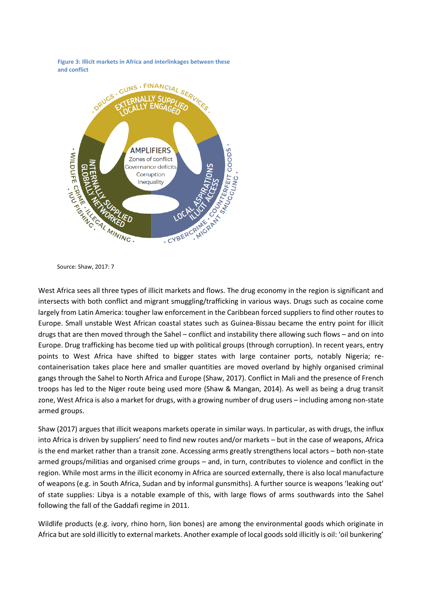**Figure 3: Illicit markets in Africa and interlinkages between these and conflict** 





West Africa sees all three types of illicit markets and flows. The drug economy in the region is significant and intersects with both conflict and migrant smuggling/trafficking in various ways. Drugs such as cocaine come largely from Latin America: tougher law enforcement in the Caribbean forced suppliers to find other routes to Europe. Small unstable West African coastal states such as Guinea-Bissau became the entry point for illicit drugs that are then moved through the Sahel – conflict and instability there allowing such flows – and on into Europe. Drug trafficking has become tied up with political groups (through corruption). In recent years, entry points to West Africa have shifted to bigger states with large container ports, notably Nigeria; recontainerisation takes place here and smaller quantities are moved overland by highly organised criminal gangs through the Sahel to North Africa and Europe (Shaw, 2017). Conflict in Mali and the presence of French troops has led to the Niger route being used more (Shaw & Mangan, 2014). As well as being a drug transit zone, West Africa is also a market for drugs, with a growing number of drug users – including among non-state armed groups.

Shaw (2017) argues that illicit weapons markets operate in similar ways. In particular, as with drugs, the influx into Africa is driven by suppliers' need to find new routes and/or markets – but in the case of weapons, Africa is the end market rather than a transit zone. Accessing arms greatly strengthens local actors – both non-state armed groups/militias and organised crime groups – and, in turn, contributes to violence and conflict in the region. While most arms in the illicit economy in Africa are sourced externally, there is also local manufacture of weapons (e.g. in South Africa, Sudan and by informal gunsmiths). A further source is weapons 'leaking out' of state supplies: Libya is a notable example of this, with large flows of arms southwards into the Sahel following the fall of the Gaddafi regime in 2011.

Wildlife products (e.g. ivory, rhino horn, lion bones) are among the environmental goods which originate in Africa but are sold illicitly to external markets. Another example of local goods sold illicitly is oil: 'oil bunkering'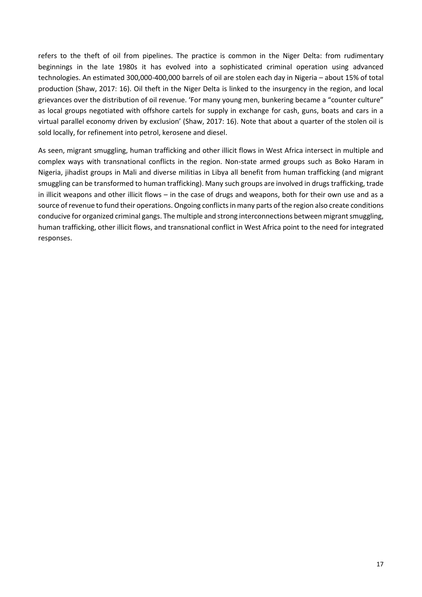refers to the theft of oil from pipelines. The practice is common in the Niger Delta: from rudimentary beginnings in the late 1980s it has evolved into a sophisticated criminal operation using advanced technologies. An estimated 300,000-400,000 barrels of oil are stolen each day in Nigeria – about 15% of total production (Shaw, 2017: 16). Oil theft in the Niger Delta is linked to the insurgency in the region, and local grievances over the distribution of oil revenue. 'For many young men, bunkering became a "counter culture" as local groups negotiated with offshore cartels for supply in exchange for cash, guns, boats and cars in a virtual parallel economy driven by exclusion' (Shaw, 2017: 16). Note that about a quarter of the stolen oil is sold locally, for refinement into petrol, kerosene and diesel.

As seen, migrant smuggling, human trafficking and other illicit flows in West Africa intersect in multiple and complex ways with transnational conflicts in the region. Non-state armed groups such as Boko Haram in Nigeria, jihadist groups in Mali and diverse militias in Libya all benefit from human trafficking (and migrant smuggling can be transformed to human trafficking). Many such groups are involved in drugs trafficking, trade in illicit weapons and other illicit flows – in the case of drugs and weapons, both for their own use and as a source of revenue to fund their operations. Ongoing conflicts in many parts of the region also create conditions conducive for organized criminal gangs. The multiple and strong interconnections between migrant smuggling, human trafficking, other illicit flows, and transnational conflict in West Africa point to the need for integrated responses.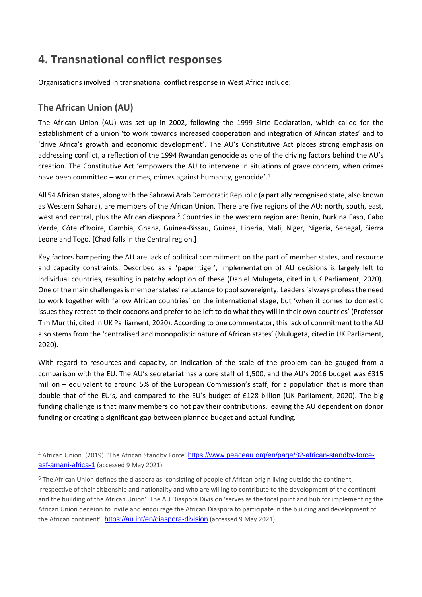# <span id="page-17-0"></span>**4. Transnational conflict responses**

Organisations involved in transnational conflict response in West Africa include:

## **The African Union (AU)**

The African Union (AU) was set up in 2002, following the 1999 Sirte Declaration, which called for the establishment of a union 'to work towards increased cooperation and integration of African states' and to 'drive Africa's growth and economic development'. The AU's Constitutive Act places strong emphasis on addressing conflict, a reflection of the 1994 Rwandan genocide as one of the driving factors behind the AU's creation. The Constitutive Act 'empowers the AU to intervene in situations of grave concern, when crimes have been committed - war crimes, crimes against humanity, genocide'.<sup>4</sup>

All 54 African states, along with the Sahrawi Arab Democratic Republic (a partially recognised state, also known as Western Sahara), are members of the African Union. There are five regions of the AU: north, south, east, west and central, plus the African diaspora.<sup>5</sup> Countries in the western region are: Benin, Burkina Faso, Cabo Verde, Côte d'Ivoire, Gambia, Ghana, Guinea-Bissau, Guinea, Liberia, Mali, Niger, Nigeria, Senegal, Sierra Leone and Togo. [Chad falls in the Central region.]

Key factors hampering the AU are lack of political commitment on the part of member states, and resource and capacity constraints. Described as a 'paper tiger', implementation of AU decisions is largely left to individual countries, resulting in patchy adoption of these (Daniel Mulugeta, cited in UK Parliament, 2020). One of the main challenges is member states' reluctance to pool sovereignty. Leaders 'always profess the need to work together with fellow African countries' on the international stage, but 'when it comes to domestic issues they retreat to their cocoons and prefer to be left to do what they will in their own countries' (Professor Tim Murithi, cited in UK Parliament, 2020). According to one commentator, this lack of commitment to the AU also stems from the 'centralised and monopolistic nature of African states' (Mulugeta, cited in UK Parliament, 2020).

With regard to resources and capacity, an indication of the scale of the problem can be gauged from a comparison with the EU. The AU's secretariat has a core staff of 1,500, and the AU's 2016 budget was £315 million – equivalent to around 5% of the European Commission's staff, for a population that is more than double that of the EU's, and compared to the EU's budget of £128 billion (UK Parliament, 2020). The big funding challenge is that many members do not pay their contributions, leaving the AU dependent on donor funding or creating a significant gap between planned budget and actual funding.

<sup>4</sup> African Union. (2019). 'The African Standby Force' [https://www.peaceau.org/en/page/82-african-standby-force](https://www.peaceau.org/en/page/82-african-standby-force-asf-amani-africa-1)[asf-amani-africa-1](https://www.peaceau.org/en/page/82-african-standby-force-asf-amani-africa-1) (accessed 9 May 2021).

<sup>5</sup> The African Union defines the diaspora as 'consisting of people of African origin living outside the continent, irrespective of their citizenship and nationality and who are willing to contribute to the development of the continent and the building of the African Union'. The AU Diaspora Division 'serves as the focal point and hub for implementing the African Union decision to invite and encourage the African Diaspora to participate in the building and development of the African continent'. <https://au.int/en/diaspora-division> (accessed 9 May 2021).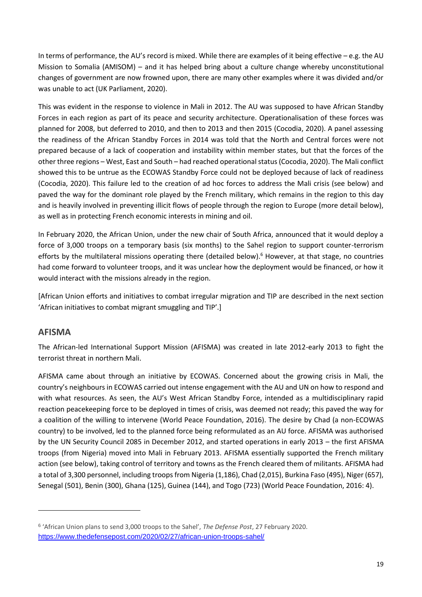In terms of performance, the AU's record is mixed. While there are examples of it being effective – e.g. the AU Mission to Somalia (AMISOM) – and it has helped bring about a culture change whereby unconstitutional changes of government are now frowned upon, there are many other examples where it was divided and/or was unable to act (UK Parliament, 2020).

This was evident in the response to violence in Mali in 2012. The AU was supposed to have African Standby Forces in each region as part of its peace and security architecture. Operationalisation of these forces was planned for 2008, but deferred to 2010, and then to 2013 and then 2015 (Cocodia, 2020). A panel assessing the readiness of the African Standby Forces in 2014 was told that the North and Central forces were not prepared because of a lack of cooperation and instability within member states, but that the forces of the other three regions – West, East and South – had reached operational status (Cocodia, 2020). The Mali conflict showed this to be untrue as the ECOWAS Standby Force could not be deployed because of lack of readiness (Cocodia, 2020). This failure led to the creation of ad hoc forces to address the Mali crisis (see below) and paved the way for the dominant role played by the French military, which remains in the region to this day and is heavily involved in preventing illicit flows of people through the region to Europe (more detail below), as well as in protecting French economic interests in mining and oil.

In February 2020, the African Union, under the new chair of South Africa, announced that it would deploy a force of 3,000 troops on a temporary basis (six months) to the Sahel region to support counter-terrorism efforts by the multilateral missions operating there (detailed below).<sup>6</sup> However, at that stage, no countries had come forward to volunteer troops, and it was unclear how the deployment would be financed, or how it would interact with the missions already in the region.

[African Union efforts and initiatives to combat irregular migration and TIP are described in the next section 'African initiatives to combat migrant smuggling and TIP'.]

## **AFISMA**

The African-led International Support Mission (AFISMA) was created in late 2012-early 2013 to fight the terrorist threat in northern Mali.

AFISMA came about through an initiative by ECOWAS. Concerned about the growing crisis in Mali, the country's neighbours in ECOWAS carried out intense engagement with the AU and UN on how to respond and with what resources. As seen, the AU's West African Standby Force, intended as a multidisciplinary rapid reaction peacekeeping force to be deployed in times of crisis, was deemed not ready; this paved the way for a coalition of the willing to intervene (World Peace Foundation, 2016). The desire by Chad (a non-ECOWAS country) to be involved, led to the planned force being reformulated as an AU force. AFISMA was authorised by the UN Security Council 2085 in December 2012, and started operations in early 2013 – the first AFISMA troops (from Nigeria) moved into Mali in February 2013. AFISMA essentially supported the French military action (see below), taking control of territory and towns as the French cleared them of militants. AFISMA had a total of 3,300 personnel, including troops from Nigeria (1,186), Chad (2,015), Burkina Faso (495), Niger (657), Senegal (501), Benin (300), Ghana (125), Guinea (144), and Togo (723) (World Peace Foundation, 2016: 4).

<sup>6</sup> 'African Union plans to send 3,000 troops to the Sahel', *The Defense Post*, 27 February 2020. <https://www.thedefensepost.com/2020/02/27/african-union-troops-sahel/>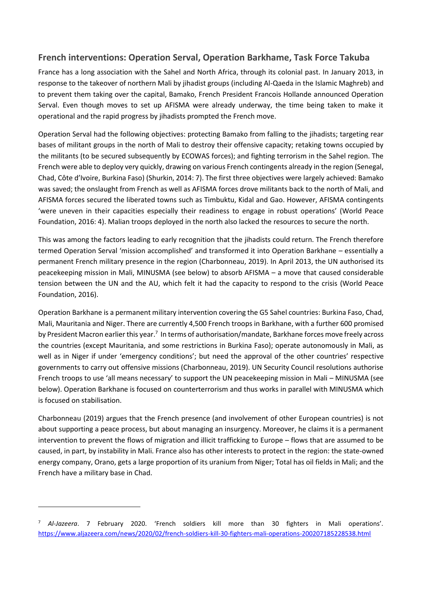## **French interventions: Operation Serval, Operation Barkhame, Task Force Takuba**

France has a long association with the Sahel and North Africa, through its colonial past. In January 2013, in response to the takeover of northern Mali by jihadist groups (including Al-Qaeda in the Islamic Maghreb) and to prevent them taking over the capital, Bamako, French President Francois Hollande announced Operation Serval. Even though moves to set up AFISMA were already underway, the time being taken to make it operational and the rapid progress by jihadists prompted the French move.

Operation Serval had the following objectives: protecting Bamako from falling to the jihadists; targeting rear bases of militant groups in the north of Mali to destroy their offensive capacity; retaking towns occupied by the militants (to be secured subsequently by ECOWAS forces); and fighting terrorism in the Sahel region. The French were able to deploy very quickly, drawing on various French contingents already in the region (Senegal, Chad, Côte d'Ivoire, Burkina Faso) (Shurkin, 2014: 7). The first three objectives were largely achieved: Bamako was saved; the onslaught from French as well as AFISMA forces drove militants back to the north of Mali, and AFISMA forces secured the liberated towns such as Timbuktu, Kidal and Gao. However, AFISMA contingents 'were uneven in their capacities especially their readiness to engage in robust operations' (World Peace Foundation, 2016: 4). Malian troops deployed in the north also lacked the resources to secure the north.

This was among the factors leading to early recognition that the jihadists could return. The French therefore termed Operation Serval 'mission accomplished' and transformed it into Operation Barkhane – essentially a permanent French military presence in the region (Charbonneau, 2019). In April 2013, the UN authorised its peacekeeping mission in Mali, MINUSMA (see below) to absorb AFISMA – a move that caused considerable tension between the UN and the AU, which felt it had the capacity to respond to the crisis (World Peace Foundation, 2016).

Operation Barkhane is a permanent military intervention covering the G5 Sahel countries: Burkina Faso, Chad, Mali, Mauritania and Niger. There are currently 4,500 French troops in Barkhane, with a further 600 promised by President Macron earlier this year.<sup>7</sup> In terms of authorisation/mandate, Barkhane forces move freely across the countries (except Mauritania, and some restrictions in Burkina Faso); operate autonomously in Mali, as well as in Niger if under 'emergency conditions'; but need the approval of the other countries' respective governments to carry out offensive missions (Charbonneau, 2019). UN Security Council resolutions authorise French troops to use 'all means necessary' to support the UN peacekeeping mission in Mali – MINUSMA (see below). Operation Barkhane is focused on counterterrorism and thus works in parallel with MINUSMA which is focused on stabilisation.

Charbonneau (2019) argues that the French presence (and involvement of other European countries) is not about supporting a peace process, but about managing an insurgency. Moreover, he claims it is a permanent intervention to prevent the flows of migration and illicit trafficking to Europe – flows that are assumed to be caused, in part, by instability in Mali. France also has other interests to protect in the region: the state-owned energy company, Orano, gets a large proportion of its uranium from Niger; Total has oil fields in Mali; and the French have a military base in Chad.

<sup>7</sup> *Al-Jazeera*. 7 February 2020. 'French soldiers kill more than 30 fighters in Mali operations'. <https://www.aljazeera.com/news/2020/02/french-soldiers-kill-30-fighters-mali-operations-200207185228538.html>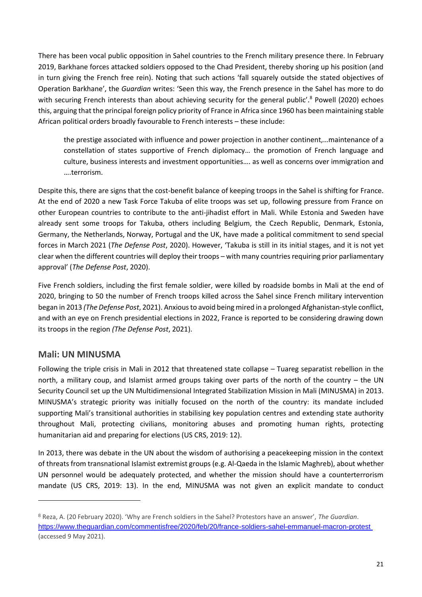There has been vocal public opposition in Sahel countries to the French military presence there. In February 2019, Barkhane forces attacked soldiers opposed to the Chad President, thereby shoring up his position (and in turn giving the French free rein). Noting that such actions 'fall squarely outside the stated objectives of Operation Barkhane', the *Guardian* writes: 'Seen this way, the French presence in the Sahel has more to do with securing French interests than about achieving security for the general public'.<sup>8</sup> Powell (2020) echoes this, arguing that the principal foreign policy priority of France in Africa since 1960 has been maintaining stable African political orders broadly favourable to French interests – these include:

the prestige associated with influence and power projection in another continent,…maintenance of a constellation of states supportive of French diplomacy… the promotion of French language and culture, business interests and investment opportunities…. as well as concerns over immigration and ….terrorism.

Despite this, there are signs that the cost-benefit balance of keeping troops in the Sahel is shifting for France. At the end of 2020 a new Task Force Takuba of elite troops was set up, following pressure from France on other European countries to contribute to the anti-jihadist effort in Mali. While Estonia and Sweden have already sent some troops for Takuba, others including Belgium, the Czech Republic, Denmark, Estonia, Germany, the Netherlands, Norway, Portugal and the UK, have made a political commitment to send special forces in March 2021 (*The Defense Post*, 2020). However, 'Takuba is still in its initial stages, and it is not yet clear when the different countries will deploy their troops – with many countries requiring prior parliamentary approval' (*The Defense Post*, 2020).

Five French soldiers, including the first female soldier, were killed by roadside bombs in Mali at the end of 2020, bringing to 50 the number of French troops killed across the Sahel since French military intervention began in 2013 *(The Defense Post*, 2021). Anxious to avoid being mired in a prolonged Afghanistan-style conflict, and with an eye on French presidential elections in 2022, France is reported to be considering drawing down its troops in the region *(The Defense Post*, 2021).

## **Mali: UN MINUSMA**

Following the triple crisis in Mali in 2012 that threatened state collapse – Tuareg separatist rebellion in the north, a military coup, and Islamist armed groups taking over parts of the north of the country – the UN Security Council set up the UN Multidimensional Integrated Stabilization Mission in Mali (MINUSMA) in 2013. MINUSMA's strategic priority was initially focused on the north of the country: its mandate included supporting Mali's transitional authorities in stabilising key population centres and extending state authority throughout Mali, protecting civilians, monitoring abuses and promoting human rights, protecting humanitarian aid and preparing for elections (US CRS, 2019: 12).

In 2013, there was debate in the UN about the wisdom of authorising a peacekeeping mission in the context of threats from transnational Islamist extremist groups (e.g. Al-Qaeda in the Islamic Maghreb), about whether UN personnel would be adequately protected, and whether the mission should have a counterterrorism mandate (US CRS, 2019: 13). In the end, MINUSMA was not given an explicit mandate to conduct

<sup>8</sup> Reza, A. (20 February 2020). 'Why are French soldiers in the Sahel? Protestors have an answer', *The Guardian*. <https://www.theguardian.com/commentisfree/2020/feb/20/france-soldiers-sahel-emmanuel-macron-protest> (accessed 9 May 2021).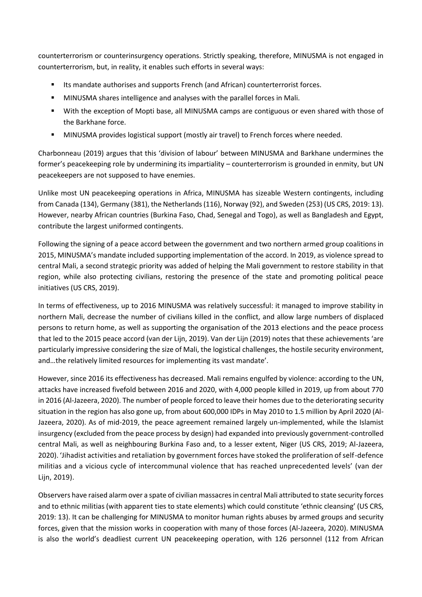counterterrorism or counterinsurgency operations. Strictly speaking, therefore, MINUSMA is not engaged in counterterrorism, but, in reality, it enables such efforts in several ways:

- Its mandate authorises and supports French (and African) counterterrorist forces.
- MINUSMA shares intelligence and analyses with the parallel forces in Mali.
- With the exception of Mopti base, all MINUSMA camps are contiguous or even shared with those of the Barkhane force.
- MINUSMA provides logistical support (mostly air travel) to French forces where needed.

Charbonneau (2019) argues that this 'division of labour' between MINUSMA and Barkhane undermines the former's peacekeeping role by undermining its impartiality – counterterrorism is grounded in enmity, but UN peacekeepers are not supposed to have enemies.

Unlike most UN peacekeeping operations in Africa, MINUSMA has sizeable Western contingents, including from Canada (134), Germany (381), the Netherlands (116), Norway (92), and Sweden (253) (US CRS, 2019: 13). However, nearby African countries (Burkina Faso, Chad, Senegal and Togo), as well as Bangladesh and Egypt, contribute the largest uniformed contingents.

Following the signing of a peace accord between the government and two northern armed group coalitions in 2015, MINUSMA's mandate included supporting implementation of the accord. In 2019, as violence spread to central Mali, a second strategic priority was added of helping the Mali government to restore stability in that region, while also protecting civilians, restoring the presence of the state and promoting political peace initiatives (US CRS, 2019).

In terms of effectiveness, up to 2016 MINUSMA was relatively successful: it managed to improve stability in northern Mali, decrease the number of civilians killed in the conflict, and allow large numbers of displaced persons to return home, as well as supporting the organisation of the 2013 elections and the peace process that led to the 2015 peace accord (van der Lijn, 2019). Van der Lijn (2019) notes that these achievements 'are particularly impressive considering the size of Mali, the logistical challenges, the hostile security environment, and…the relatively limited resources for implementing its vast mandate'.

However, since 2016 its effectiveness has decreased. Mali remains engulfed by violence: according to the UN, attacks have increased fivefold between 2016 and 2020, with 4,000 people killed in 2019, up from about 770 in 2016 (Al-Jazeera, 2020). The number of people forced to leave their homes due to the deteriorating security situation in the region has also gone up, from about 600,000 IDPs in May 2010 to 1.5 million by April 2020 (Al-Jazeera, 2020). As of mid-2019, the peace agreement remained largely un-implemented, while the Islamist insurgency (excluded from the peace process by design) had expanded into previously government-controlled central Mali, as well as neighbouring Burkina Faso and, to a lesser extent, Niger (US CRS, 2019; Al-Jazeera, 2020). 'Jihadist activities and retaliation by government forces have stoked the proliferation of self-defence militias and a vicious cycle of intercommunal violence that has reached unprecedented levels' (van der Lijn, 2019).

Observers have raised alarm over a spate of civilian massacres in central Mali attributed to state security forces and to ethnic militias (with apparent ties to state elements) which could constitute 'ethnic cleansing' (US CRS, 2019: 13). It can be challenging for MINUSMA to monitor human rights abuses by armed groups and security forces, given that the mission works in cooperation with many of those forces (Al-Jazeera, 2020). MINUSMA is also the world's deadliest current UN peacekeeping operation, with 126 personnel (112 from African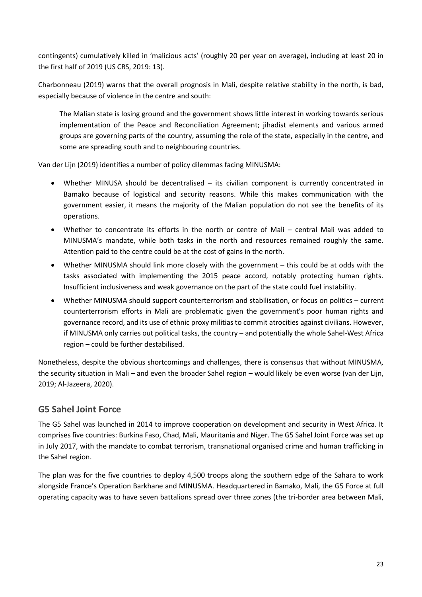contingents) cumulatively killed in 'malicious acts' (roughly 20 per year on average), including at least 20 in the first half of 2019 (US CRS, 2019: 13).

Charbonneau (2019) warns that the overall prognosis in Mali, despite relative stability in the north, is bad, especially because of violence in the centre and south:

The Malian state is losing ground and the government shows little interest in working towards serious implementation of the Peace and Reconciliation Agreement; jihadist elements and various armed groups are governing parts of the country, assuming the role of the state, especially in the centre, and some are spreading south and to neighbouring countries.

Van der Lijn (2019) identifies a number of policy dilemmas facing MINUSMA:

- Whether MINUSA should be decentralised its civilian component is currently concentrated in Bamako because of logistical and security reasons. While this makes communication with the government easier, it means the majority of the Malian population do not see the benefits of its operations.
- Whether to concentrate its efforts in the north or centre of Mali central Mali was added to MINUSMA's mandate, while both tasks in the north and resources remained roughly the same. Attention paid to the centre could be at the cost of gains in the north.
- Whether MINUSMA should link more closely with the government this could be at odds with the tasks associated with implementing the 2015 peace accord, notably protecting human rights. Insufficient inclusiveness and weak governance on the part of the state could fuel instability.
- Whether MINUSMA should support counterterrorism and stabilisation, or focus on politics current counterterrorism efforts in Mali are problematic given the government's poor human rights and governance record, and its use of ethnic proxy militias to commit atrocities against civilians. However, if MINUSMA only carries out political tasks, the country – and potentially the whole Sahel-West Africa region – could be further destabilised.

Nonetheless, despite the obvious shortcomings and challenges, there is consensus that without MINUSMA, the security situation in Mali – and even the broader Sahel region – would likely be even worse (van der Lijn, 2019; Al-Jazeera, 2020).

## **G5 Sahel Joint Force**

The G5 Sahel was launched in 2014 to improve cooperation on development and security in West Africa. It comprises five countries: Burkina Faso, Chad, Mali, Mauritania and Niger. The G5 Sahel Joint Force was set up in July 2017, with the mandate to combat terrorism, transnational organised crime and human trafficking in the Sahel region.

The plan was for the five countries to deploy 4,500 troops along the southern edge of the Sahara to work alongside France's Operation Barkhane and MINUSMA. Headquartered in Bamako, Mali, the G5 Force at full operating capacity was to have seven battalions spread over three zones (the tri-border area between Mali,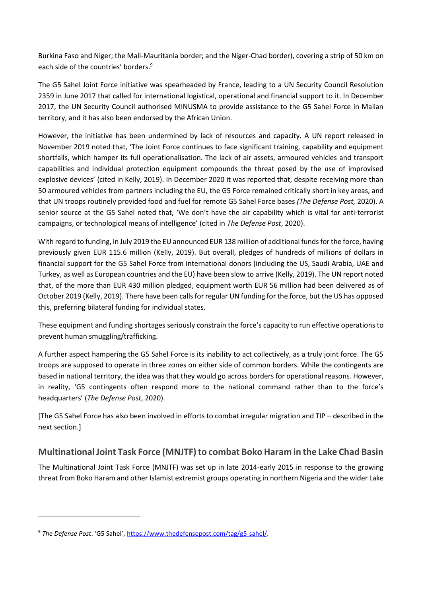Burkina Faso and Niger; the Mali-Mauritania border; and the Niger-Chad border), covering a strip of 50 km on each side of the countries' borders.<sup>9</sup>

The G5 Sahel Joint Force initiative was spearheaded by France, leading to a UN Security Council Resolution 2359 in June 2017 that called for international logistical, operational and financial support to it. In December 2017, the UN Security Council authorised MINUSMA to provide assistance to the G5 Sahel Force in Malian territory, and it has also been endorsed by the African Union.

However, the initiative has been undermined by lack of resources and capacity. A UN report released in November 2019 noted that, 'The Joint Force continues to face significant training, capability and equipment shortfalls, which hamper its full operationalisation. The lack of air assets, armoured vehicles and transport capabilities and individual protection equipment compounds the threat posed by the use of improvised explosive devices' (cited in Kelly, 2019). In December 2020 it was reported that, despite receiving more than 50 armoured vehicles from partners including the EU, the G5 Force remained critically short in key areas, and that UN troops routinely provided food and fuel for remote G5 Sahel Force bases *(The Defense Post,* 2020). A senior source at the G5 Sahel noted that, 'We don't have the air capability which is vital for anti-terrorist campaigns, or technological means of intelligence' (cited in *The Defense Post*, 2020).

With regard to funding, in July 2019 the EU announced EUR 138 million of additional funds for the force, having previously given EUR 115.6 million (Kelly, 2019). But overall, pledges of hundreds of millions of dollars in financial support for the G5 Sahel Force from international donors (including the US, Saudi Arabia, UAE and Turkey, as well as European countries and the EU) have been slow to arrive (Kelly, 2019). The UN report noted that, of the more than EUR 430 million pledged, equipment worth EUR 56 million had been delivered as of October 2019 (Kelly, 2019). There have been calls for regular UN funding for the force, but the US has opposed this, preferring bilateral funding for individual states.

These equipment and funding shortages seriously constrain the force's capacity to run effective operations to prevent human smuggling/trafficking.

A further aspect hampering the G5 Sahel Force is its inability to act collectively, as a truly joint force. The G5 troops are supposed to operate in three zones on either side of common borders. While the contingents are based in national territory, the idea was that they would go across borders for operational reasons. However, in reality, 'G5 contingents often respond more to the national command rather than to the force's headquarters' (*The Defense Post*, 2020).

[The G5 Sahel Force has also been involved in efforts to combat irregular migration and TIP – described in the next section.]

## **Multinational Joint Task Force (MNJTF) to combat Boko Haram in the Lake Chad Basin**

The Multinational Joint Task Force (MNJTF) was set up in late 2014-early 2015 in response to the growing threat from Boko Haram and other Islamist extremist groups operating in northern Nigeria and the wider Lake

<sup>9</sup> *The Defense Post*. 'G5 Sahel', [https://www.thedefensepost.com/tag/g5-sahel/.](https://www.thedefensepost.com/tag/g5-sahel/)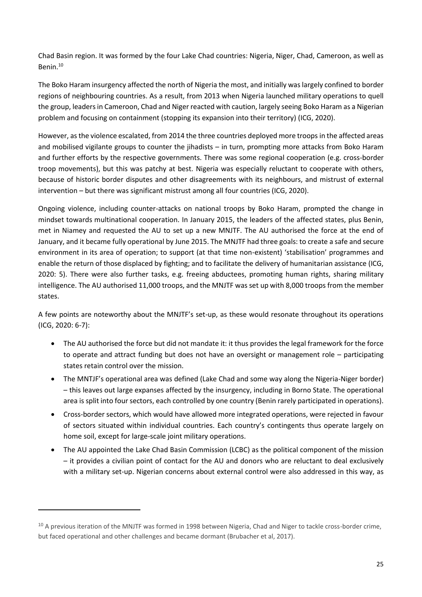Chad Basin region. It was formed by the four Lake Chad countries: Nigeria, Niger, Chad, Cameroon, as well as Benin.<sup>10</sup>

The Boko Haram insurgency affected the north of Nigeria the most, and initially was largely confined to border regions of neighbouring countries. As a result, from 2013 when Nigeria launched military operations to quell the group, leaders in Cameroon, Chad and Niger reacted with caution, largely seeing Boko Haram as a Nigerian problem and focusing on containment (stopping its expansion into their territory) (ICG, 2020).

However, asthe violence escalated, from 2014 the three countries deployed more troops in the affected areas and mobilised vigilante groups to counter the jihadists – in turn, prompting more attacks from Boko Haram and further efforts by the respective governments. There was some regional cooperation (e.g. cross-border troop movements), but this was patchy at best. Nigeria was especially reluctant to cooperate with others, because of historic border disputes and other disagreements with its neighbours, and mistrust of external intervention – but there was significant mistrust among all four countries (ICG, 2020).

Ongoing violence, including counter-attacks on national troops by Boko Haram, prompted the change in mindset towards multinational cooperation. In January 2015, the leaders of the affected states, plus Benin, met in Niamey and requested the AU to set up a new MNJTF. The AU authorised the force at the end of January, and it became fully operational by June 2015. The MNJTF had three goals: to create a safe and secure environment in its area of operation; to support (at that time non-existent) 'stabilisation' programmes and enable the return of those displaced by fighting; and to facilitate the delivery of humanitarian assistance (ICG, 2020: 5). There were also further tasks, e.g. freeing abductees, promoting human rights, sharing military intelligence. The AU authorised 11,000 troops, and the MNJTF was set up with 8,000 troops from the member states.

A few points are noteworthy about the MNJTF's set-up, as these would resonate throughout its operations (ICG, 2020: 6-7):

- The AU authorised the force but did not mandate it: it thus provides the legal framework for the force to operate and attract funding but does not have an oversight or management role – participating states retain control over the mission.
- The MNTJF's operational area was defined (Lake Chad and some way along the Nigeria-Niger border) – this leaves out large expanses affected by the insurgency, including in Borno State. The operational area is split into four sectors, each controlled by one country (Benin rarely participated in operations).
- Cross-border sectors, which would have allowed more integrated operations, were rejected in favour of sectors situated within individual countries. Each country's contingents thus operate largely on home soil, except for large-scale joint military operations.
- The AU appointed the Lake Chad Basin Commission (LCBC) as the political component of the mission – it provides a civilian point of contact for the AU and donors who are reluctant to deal exclusively with a military set-up. Nigerian concerns about external control were also addressed in this way, as

<sup>&</sup>lt;sup>10</sup> A previous iteration of the MNJTF was formed in 1998 between Nigeria, Chad and Niger to tackle cross-border crime, but faced operational and other challenges and became dormant (Brubacher et al, 2017).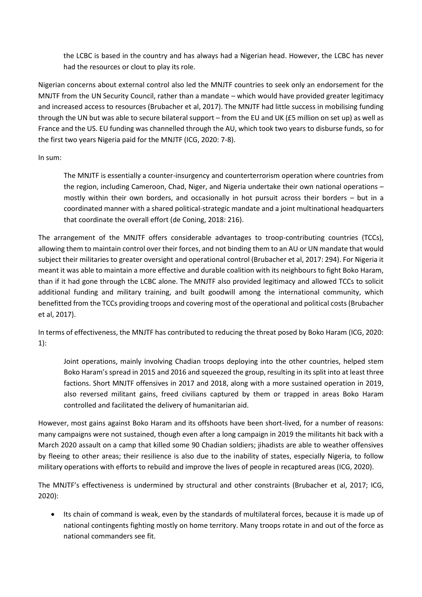the LCBC is based in the country and has always had a Nigerian head. However, the LCBC has never had the resources or clout to play its role.

Nigerian concerns about external control also led the MNJTF countries to seek only an endorsement for the MNJTF from the UN Security Council, rather than a mandate – which would have provided greater legitimacy and increased access to resources (Brubacher et al, 2017). The MNJTF had little success in mobilising funding through the UN but was able to secure bilateral support – from the EU and UK (£5 million on set up) as well as France and the US. EU funding was channelled through the AU, which took two years to disburse funds, so for the first two years Nigeria paid for the MNJTF (ICG, 2020: 7-8).

In sum:

The MNJTF is essentially a counter-insurgency and counterterrorism operation where countries from the region, including Cameroon, Chad, Niger, and Nigeria undertake their own national operations – mostly within their own borders, and occasionally in hot pursuit across their borders – but in a coordinated manner with a shared political-strategic mandate and a joint multinational headquarters that coordinate the overall effort (de Coning, 2018: 216).

The arrangement of the MNJTF offers considerable advantages to troop-contributing countries (TCCs), allowing them to maintain control over their forces, and not binding them to an AU or UN mandate that would subject their militaries to greater oversight and operational control (Brubacher et al, 2017: 294). For Nigeria it meant it was able to maintain a more effective and durable coalition with its neighbours to fight Boko Haram, than if it had gone through the LCBC alone. The MNJTF also provided legitimacy and allowed TCCs to solicit additional funding and military training, and built goodwill among the international community, which benefitted from the TCCs providing troops and covering most of the operational and political costs (Brubacher et al, 2017).

In terms of effectiveness, the MNJTF has contributed to reducing the threat posed by Boko Haram (ICG, 2020: 1):

Joint operations, mainly involving Chadian troops deploying into the other countries, helped stem Boko Haram's spread in 2015 and 2016 and squeezed the group, resulting in its split into at least three factions. Short MNJTF offensives in 2017 and 2018, along with a more sustained operation in 2019, also reversed militant gains, freed civilians captured by them or trapped in areas Boko Haram controlled and facilitated the delivery of humanitarian aid.

However, most gains against Boko Haram and its offshoots have been short-lived, for a number of reasons: many campaigns were not sustained, though even after a long campaign in 2019 the militants hit back with a March 2020 assault on a camp that killed some 90 Chadian soldiers; jihadists are able to weather offensives by fleeing to other areas; their resilience is also due to the inability of states, especially Nigeria, to follow military operations with efforts to rebuild and improve the lives of people in recaptured areas (ICG, 2020).

The MNJTF's effectiveness is undermined by structural and other constraints (Brubacher et al, 2017; ICG, 2020):

• Its chain of command is weak, even by the standards of multilateral forces, because it is made up of national contingents fighting mostly on home territory. Many troops rotate in and out of the force as national commanders see fit.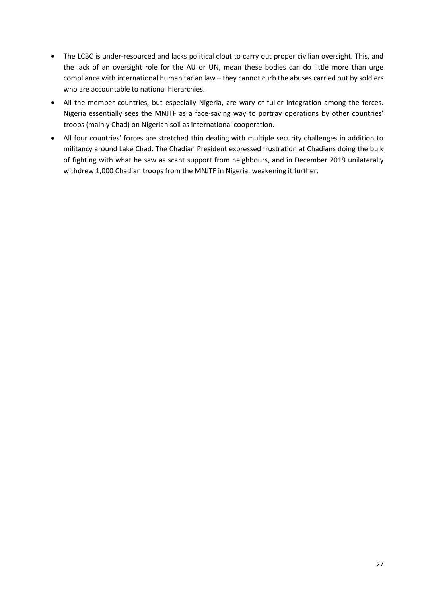- The LCBC is under-resourced and lacks political clout to carry out proper civilian oversight. This, and the lack of an oversight role for the AU or UN, mean these bodies can do little more than urge compliance with international humanitarian law – they cannot curb the abuses carried out by soldiers who are accountable to national hierarchies.
- All the member countries, but especially Nigeria, are wary of fuller integration among the forces. Nigeria essentially sees the MNJTF as a face-saving way to portray operations by other countries' troops (mainly Chad) on Nigerian soil as international cooperation.
- All four countries' forces are stretched thin dealing with multiple security challenges in addition to militancy around Lake Chad. The Chadian President expressed frustration at Chadians doing the bulk of fighting with what he saw as scant support from neighbours, and in December 2019 unilaterally withdrew 1,000 Chadian troops from the MNJTF in Nigeria, weakening it further.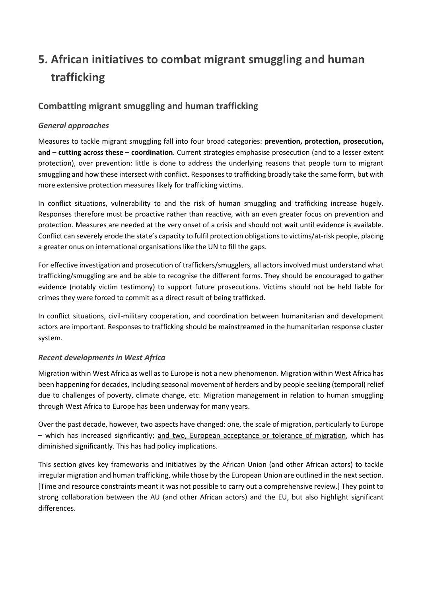# <span id="page-27-0"></span>**5. African initiatives to combat migrant smuggling and human trafficking**

## **Combatting migrant smuggling and human trafficking**

## *General approaches*

Measures to tackle migrant smuggling fall into four broad categories: **prevention, protection, prosecution, and – cutting across these – coordination**. Current strategies emphasise prosecution (and to a lesser extent protection), over prevention: little is done to address the underlying reasons that people turn to migrant smuggling and how these intersect with conflict. Responses to trafficking broadly take the same form, but with more extensive protection measures likely for trafficking victims.

In conflict situations, vulnerability to and the risk of human smuggling and trafficking increase hugely. Responses therefore must be proactive rather than reactive, with an even greater focus on prevention and protection. Measures are needed at the very onset of a crisis and should not wait until evidence is available. Conflict can severely erode the state's capacity to fulfil protection obligations to victims/at-risk people, placing a greater onus on international organisations like the UN to fill the gaps.

For effective investigation and prosecution of traffickers/smugglers, all actors involved must understand what trafficking/smuggling are and be able to recognise the different forms. They should be encouraged to gather evidence (notably victim testimony) to support future prosecutions. Victims should not be held liable for crimes they were forced to commit as a direct result of being trafficked.

In conflict situations, civil-military cooperation, and coordination between humanitarian and development actors are important. Responses to trafficking should be mainstreamed in the humanitarian response cluster system.

#### *Recent developments in West Africa*

Migration within West Africa as well as to Europe is not a new phenomenon. Migration within West Africa has been happening for decades, including seasonal movement of herders and by people seeking (temporal) relief due to challenges of poverty, climate change, etc. Migration management in relation to human smuggling through West Africa to Europe has been underway for many years.

Over the past decade, however, two aspects have changed: one, the scale of migration, particularly to Europe – which has increased significantly; and two, European acceptance or tolerance of migration, which has diminished significantly. This has had policy implications.

This section gives key frameworks and initiatives by the African Union (and other African actors) to tackle irregular migration and human trafficking, while those by the European Union are outlined in the next section. [Time and resource constraints meant it was not possible to carry out a comprehensive review.] They point to strong collaboration between the AU (and other African actors) and the EU, but also highlight significant differences.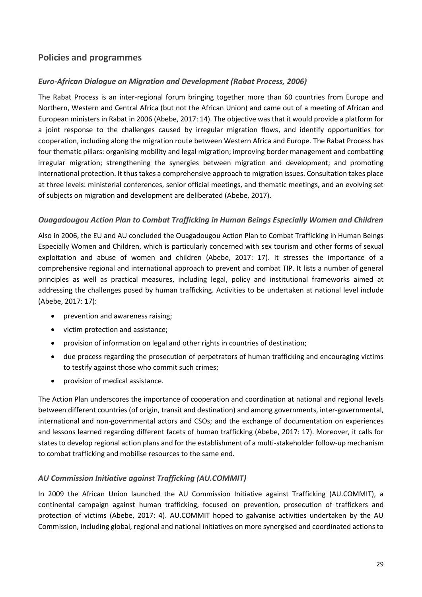## **Policies and programmes**

## *Euro-African Dialogue on Migration and Development (Rabat Process, 2006)*

The Rabat Process is an inter-regional forum bringing together more than 60 countries from Europe and Northern, Western and Central Africa (but not the African Union) and came out of a meeting of African and European ministers in Rabat in 2006 (Abebe, 2017: 14). The objective was that it would provide a platform for a joint response to the challenges caused by irregular migration flows, and identify opportunities for cooperation, including along the migration route between Western Africa and Europe. The Rabat Process has four thematic pillars: organising mobility and legal migration; improving border management and combatting irregular migration; strengthening the synergies between migration and development; and promoting international protection. It thus takes a comprehensive approach to migration issues. Consultation takes place at three levels: ministerial conferences, senior official meetings, and thematic meetings, and an evolving set of subjects on migration and development are deliberated (Abebe, 2017).

#### *Ouagadougou Action Plan to Combat Trafficking in Human Beings Especially Women and Children*

Also in 2006, the EU and AU concluded the Ouagadougou Action Plan to Combat Trafficking in Human Beings Especially Women and Children, which is particularly concerned with sex tourism and other forms of sexual exploitation and abuse of women and children (Abebe, 2017: 17). It stresses the importance of a comprehensive regional and international approach to prevent and combat TIP. It lists a number of general principles as well as practical measures, including legal, policy and institutional frameworks aimed at addressing the challenges posed by human trafficking. Activities to be undertaken at national level include (Abebe, 2017: 17):

- prevention and awareness raising:
- victim protection and assistance;
- provision of information on legal and other rights in countries of destination;
- due process regarding the prosecution of perpetrators of human trafficking and encouraging victims to testify against those who commit such crimes;
- provision of medical assistance.

The Action Plan underscores the importance of cooperation and coordination at national and regional levels between different countries (of origin, transit and destination) and among governments, inter-governmental, international and non-governmental actors and CSOs; and the exchange of documentation on experiences and lessons learned regarding different facets of human trafficking (Abebe, 2017: 17). Moreover, it calls for states to develop regional action plans and for the establishment of a multi-stakeholder follow-up mechanism to combat trafficking and mobilise resources to the same end.

#### *AU Commission Initiative against Trafficking (AU.COMMIT)*

In 2009 the African Union launched the AU Commission Initiative against Trafficking (AU.COMMIT), a continental campaign against human trafficking, focused on prevention, prosecution of traffickers and protection of victims (Abebe, 2017: 4). AU.COMMIT hoped to galvanise activities undertaken by the AU Commission, including global, regional and national initiatives on more synergised and coordinated actions to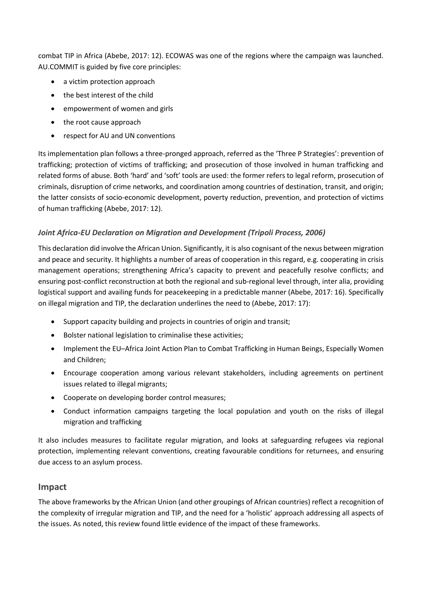combat TIP in Africa (Abebe, 2017: 12). ECOWAS was one of the regions where the campaign was launched. AU.COMMIT is guided by five core principles:

- a victim protection approach
- the best interest of the child
- empowerment of women and girls
- the root cause approach
- respect for AU and UN conventions

Its implementation plan follows a three-pronged approach, referred as the 'Three P Strategies': prevention of trafficking; protection of victims of trafficking; and prosecution of those involved in human trafficking and related forms of abuse. Both 'hard' and 'soft' tools are used: the former refers to legal reform, prosecution of criminals, disruption of crime networks, and coordination among countries of destination, transit, and origin; the latter consists of socio-economic development, poverty reduction, prevention, and protection of victims of human trafficking (Abebe, 2017: 12).

## Joint Africa-EU Declaration on Migration and Development (Tripoli Process, 2006)

This declaration did involve the African Union. Significantly, it is also cognisant of the nexus between migration and peace and security. It highlights a number of areas of cooperation in this regard, e.g. cooperating in crisis management operations; strengthening Africa's capacity to prevent and peacefully resolve conflicts; and ensuring post-conflict reconstruction at both the regional and sub-regional level through, inter alia, providing logistical support and availing funds for peacekeeping in a predictable manner (Abebe, 2017: 16). Specifically on illegal migration and TIP, the declaration underlines the need to (Abebe, 2017: 17):

- Support capacity building and projects in countries of origin and transit;
- Bolster national legislation to criminalise these activities;
- Implement the EU–Africa Joint Action Plan to Combat Trafficking in Human Beings, Especially Women and Children;
- Encourage cooperation among various relevant stakeholders, including agreements on pertinent issues related to illegal migrants;
- Cooperate on developing border control measures;
- Conduct information campaigns targeting the local population and youth on the risks of illegal migration and trafficking

It also includes measures to facilitate regular migration, and looks at safeguarding refugees via regional protection, implementing relevant conventions, creating favourable conditions for returnees, and ensuring due access to an asylum process.

## **Impact**

The above frameworks by the African Union (and other groupings of African countries) reflect a recognition of the complexity of irregular migration and TIP, and the need for a 'holistic' approach addressing all aspects of the issues. As noted, this review found little evidence of the impact of these frameworks.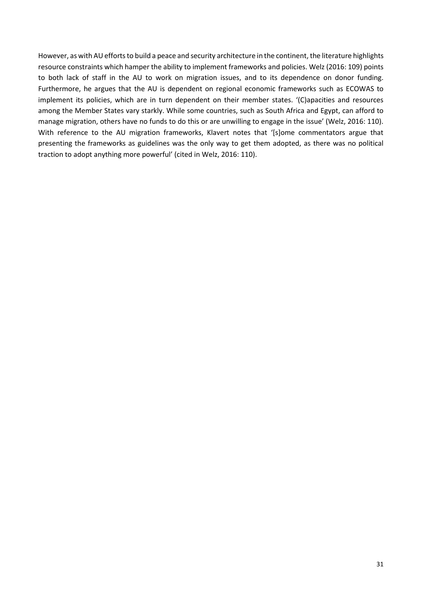However, as with AU efforts to build a peace and security architecture in the continent, the literature highlights resource constraints which hamper the ability to implement frameworks and policies. Welz (2016: 109) points to both lack of staff in the AU to work on migration issues, and to its dependence on donor funding. Furthermore, he argues that the AU is dependent on regional economic frameworks such as ECOWAS to implement its policies, which are in turn dependent on their member states. '(C)apacities and resources among the Member States vary starkly. While some countries, such as South Africa and Egypt, can afford to manage migration, others have no funds to do this or are unwilling to engage in the issue' (Welz, 2016: 110). With reference to the AU migration frameworks, Klavert notes that '[s]ome commentators argue that presenting the frameworks as guidelines was the only way to get them adopted, as there was no political traction to adopt anything more powerful' (cited in Welz, 2016: 110).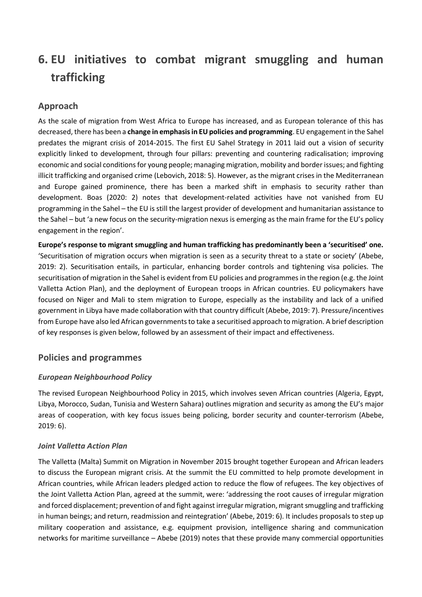# <span id="page-31-0"></span>**6. EU initiatives to combat migrant smuggling and human trafficking**

## **Approach**

As the scale of migration from West Africa to Europe has increased, and as European tolerance of this has decreased, there has been a **change in emphasis in EU policies and programming**. EU engagement in the Sahel predates the migrant crisis of 2014-2015. The first EU Sahel Strategy in 2011 laid out a vision of security explicitly linked to development, through four pillars: preventing and countering radicalisation; improving economic and social conditions for young people; managing migration, mobility and border issues; and fighting illicit trafficking and organised crime (Lebovich, 2018: 5). However, as the migrant crises in the Mediterranean and Europe gained prominence, there has been a marked shift in emphasis to security rather than development. Boas (2020: 2) notes that development-related activities have not vanished from EU programming in the Sahel – the EU is still the largest provider of development and humanitarian assistance to the Sahel – but 'a new focus on the security-migration nexus is emerging as the main frame for the EU's policy engagement in the region'.

**Europe's response to migrant smuggling and human trafficking has predominantly been a 'securitised' one.** 'Securitisation of migration occurs when migration is seen as a security threat to a state or society' (Abebe, 2019: 2). Securitisation entails, in particular, enhancing border controls and tightening visa policies. The securitisation of migration in the Sahel is evident from EU policies and programmes in the region (e.g. the Joint Valletta Action Plan), and the deployment of European troops in African countries. EU policymakers have focused on Niger and Mali to stem migration to Europe, especially as the instability and lack of a unified government in Libya have made collaboration with that country difficult (Abebe, 2019: 7). Pressure/incentives from Europe have also led African governments to take a securitised approach to migration. A brief description of key responses is given below, followed by an assessment of their impact and effectiveness.

## **Policies and programmes**

## *European Neighbourhood Policy*

The revised European Neighbourhood Policy in 2015, which involves seven African countries (Algeria, Egypt, Libya, Morocco, Sudan, Tunisia and Western Sahara) outlines migration and security as among the EU's major areas of cooperation, with key focus issues being policing, border security and counter-terrorism (Abebe, 2019: 6).

#### *Joint Valletta Action Plan*

The Valletta (Malta) Summit on Migration in November 2015 brought together European and African leaders to discuss the European migrant crisis. At the summit the EU committed to help promote development in African countries, while African leaders pledged action to reduce the flow of refugees. The key objectives of the Joint Valletta Action Plan, agreed at the summit, were: 'addressing the root causes of irregular migration and forced displacement; prevention of and fight against irregular migration, migrant smuggling and trafficking in human beings; and return, readmission and reintegration' (Abebe, 2019: 6). It includes proposals to step up military cooperation and assistance, e.g. equipment provision, intelligence sharing and communication networks for maritime surveillance – Abebe (2019) notes that these provide many commercial opportunities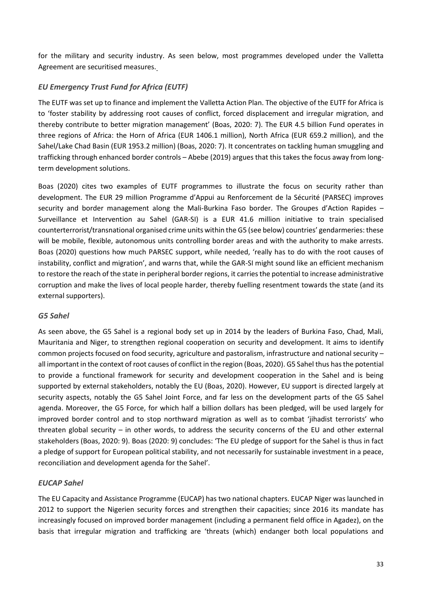for the military and security industry. As seen below, most programmes developed under the Valletta Agreement are securitised measures.

## *EU Emergency Trust Fund for Africa (EUTF)*

The EUTF was set up to finance and implement the Valletta Action Plan. The objective of the EUTF for Africa is to 'foster stability by addressing root causes of conflict, forced displacement and irregular migration, and thereby contribute to better migration management' (Boas, 2020: 7). The EUR 4.5 billion Fund operates in three regions of Africa: the Horn of Africa (EUR 1406.1 million), North Africa (EUR 659.2 million), and the Sahel/Lake Chad Basin (EUR 1953.2 million) (Boas, 2020: 7). It concentrates on tackling human smuggling and trafficking through enhanced border controls – Abebe (2019) argues that this takes the focus away from longterm development solutions.

Boas (2020) cites two examples of EUTF programmes to illustrate the focus on security rather than development. The EUR 29 million Programme d'Appui au Renforcement de la Sécurité (PARSEC) improves security and border management along the Mali-Burkina Faso border. The Groupes d'Action Rapides – Surveillance et Intervention au Sahel (GAR-SI) is a EUR 41.6 million initiative to train specialised counterterrorist/transnational organised crime units within the G5 (see below) countries' gendarmeries: these will be mobile, flexible, autonomous units controlling border areas and with the authority to make arrests. Boas (2020) questions how much PARSEC support, while needed, 'really has to do with the root causes of instability, conflict and migration', and warns that, while the GAR-SI might sound like an efficient mechanism to restore the reach of the state in peripheral border regions, it carries the potential to increase administrative corruption and make the lives of local people harder, thereby fuelling resentment towards the state (and its external supporters).

#### *G5 Sahel*

As seen above, the G5 Sahel is a regional body set up in 2014 by the leaders of Burkina Faso, Chad, Mali, Mauritania and Niger, to strengthen regional cooperation on security and development. It aims to identify common projects focused on food security, agriculture and pastoralism, infrastructure and national security – all important in the context of root causes of conflict in the region (Boas, 2020). G5 Sahel thus has the potential to provide a functional framework for security and development cooperation in the Sahel and is being supported by external stakeholders, notably the EU (Boas, 2020). However, EU support is directed largely at security aspects, notably the G5 Sahel Joint Force, and far less on the development parts of the G5 Sahel agenda. Moreover, the G5 Force, for which half a billion dollars has been pledged, will be used largely for improved border control and to stop northward migration as well as to combat 'jihadist terrorists' who threaten global security – in other words, to address the security concerns of the EU and other external stakeholders (Boas, 2020: 9). Boas (2020: 9) concludes: 'The EU pledge of support for the Sahel is thus in fact a pledge of support for European political stability, and not necessarily for sustainable investment in a peace, reconciliation and development agenda for the Sahel'.

## *EUCAP Sahel*

The EU Capacity and Assistance Programme (EUCAP) has two national chapters. EUCAP Niger was launched in 2012 to support the Nigerien security forces and strengthen their capacities; since 2016 its mandate has increasingly focused on improved border management (including a permanent field office in Agadez), on the basis that irregular migration and trafficking are 'threats (which) endanger both local populations and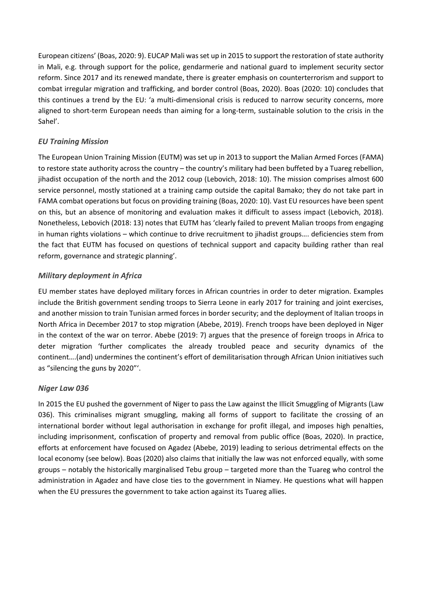European citizens' (Boas, 2020: 9). EUCAP Mali was set up in 2015 to support the restoration of state authority in Mali, e.g. through support for the police, gendarmerie and national guard to implement security sector reform. Since 2017 and its renewed mandate, there is greater emphasis on counterterrorism and support to combat irregular migration and trafficking, and border control (Boas, 2020). Boas (2020: 10) concludes that this continues a trend by the EU: 'a multi-dimensional crisis is reduced to narrow security concerns, more aligned to short-term European needs than aiming for a long-term, sustainable solution to the crisis in the Sahel'.

#### *EU Training Mission*

The European Union Training Mission (EUTM) was set up in 2013 to support the Malian Armed Forces (FAMA) to restore state authority across the country – the country's military had been buffeted by a Tuareg rebellion, jihadist occupation of the north and the 2012 coup (Lebovich, 2018: 10). The mission comprises almost 600 service personnel, mostly stationed at a training camp outside the capital Bamako; they do not take part in FAMA combat operations but focus on providing training (Boas, 2020: 10). Vast EU resources have been spent on this, but an absence of monitoring and evaluation makes it difficult to assess impact (Lebovich, 2018). Nonetheless, Lebovich (2018: 13) notes that EUTM has 'clearly failed to prevent Malian troops from engaging in human rights violations – which continue to drive recruitment to jihadist groups…. deficiencies stem from the fact that EUTM has focused on questions of technical support and capacity building rather than real reform, governance and strategic planning'.

#### *Military deployment in Africa*

EU member states have deployed military forces in African countries in order to deter migration. Examples include the British government sending troops to Sierra Leone in early 2017 for training and joint exercises, and another mission to train Tunisian armed forces in border security; and the deployment of Italian troops in North Africa in December 2017 to stop migration (Abebe, 2019). French troops have been deployed in Niger in the context of the war on terror. Abebe (2019: 7) argues that the presence of foreign troops in Africa to deter migration 'further complicates the already troubled peace and security dynamics of the continent….(and) undermines the continent's effort of demilitarisation through African Union initiatives such as "silencing the guns by 2020"'.

#### *Niger Law 036*

In 2015 the EU pushed the government of Niger to pass the Law against the Illicit Smuggling of Migrants (Law 036). This criminalises migrant smuggling, making all forms of support to facilitate the crossing of an international border without legal authorisation in exchange for profit illegal, and imposes high penalties, including imprisonment, confiscation of property and removal from public office (Boas, 2020). In practice, efforts at enforcement have focused on Agadez (Abebe, 2019) leading to serious detrimental effects on the local economy (see below). Boas (2020) also claims that initially the law was not enforced equally, with some groups – notably the historically marginalised Tebu group – targeted more than the Tuareg who control the administration in Agadez and have close ties to the government in Niamey. He questions what will happen when the EU pressures the government to take action against its Tuareg allies.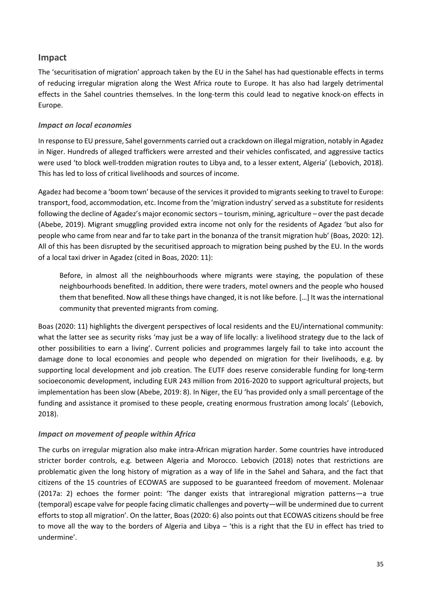## **Impact**

The 'securitisation of migration' approach taken by the EU in the Sahel has had questionable effects in terms of reducing irregular migration along the West Africa route to Europe. It has also had largely detrimental effects in the Sahel countries themselves. In the long-term this could lead to negative knock-on effects in Europe.

#### *Impact on local economies*

In response to EU pressure, Sahel governments carried out a crackdown on illegal migration, notably in Agadez in Niger. Hundreds of alleged traffickers were arrested and their vehicles confiscated, and aggressive tactics were used 'to block well-trodden migration routes to Libya and, to a lesser extent, Algeria' (Lebovich, 2018). This has led to loss of critical livelihoods and sources of income.

Agadez had become a 'boom town' because of the services it provided to migrants seeking to travel to Europe: transport, food, accommodation, etc. Income from the 'migration industry' served as a substitute for residents following the decline of Agadez's major economic sectors – tourism, mining, agriculture – over the past decade (Abebe, 2019). Migrant smuggling provided extra income not only for the residents of Agadez 'but also for people who came from near and far to take part in the bonanza of the transit migration hub' (Boas, 2020: 12). All of this has been disrupted by the securitised approach to migration being pushed by the EU. In the words of a local taxi driver in Agadez (cited in Boas, 2020: 11):

Before, in almost all the neighbourhoods where migrants were staying, the population of these neighbourhoods benefited. In addition, there were traders, motel owners and the people who housed them that benefited. Now all these things have changed, it is not like before. […] It was the international community that prevented migrants from coming.

Boas (2020: 11) highlights the divergent perspectives of local residents and the EU/international community: what the latter see as security risks 'may just be a way of life locally: a livelihood strategy due to the lack of other possibilities to earn a living'. Current policies and programmes largely fail to take into account the damage done to local economies and people who depended on migration for their livelihoods, e.g. by supporting local development and job creation. The EUTF does reserve considerable funding for long-term socioeconomic development, including EUR 243 million from 2016-2020 to support agricultural projects, but implementation has been slow (Abebe, 2019: 8). In Niger, the EU 'has provided only a small percentage of the funding and assistance it promised to these people, creating enormous frustration among locals' (Lebovich, 2018).

#### *Impact on movement of people within Africa*

The curbs on irregular migration also make intra-African migration harder. Some countries have introduced stricter border controls, e.g. between Algeria and Morocco. Lebovich (2018) notes that restrictions are problematic given the long history of migration as a way of life in the Sahel and Sahara, and the fact that citizens of the 15 countries of ECOWAS are supposed to be guaranteed freedom of movement. Molenaar (2017a: 2) echoes the former point: 'The danger exists that intraregional migration patterns—a true (temporal) escape valve for people facing climatic challenges and poverty—will be undermined due to current efforts to stop all migration'. On the latter, Boas (2020: 6) also points out that ECOWAS citizens should be free to move all the way to the borders of Algeria and Libya – 'this is a right that the EU in effect has tried to undermine'.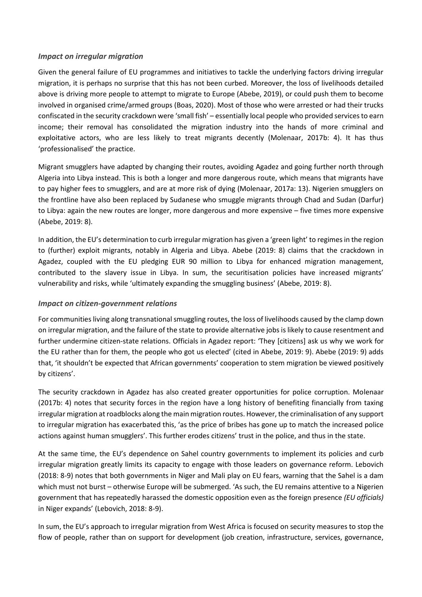#### *Impact on irregular migration*

Given the general failure of EU programmes and initiatives to tackle the underlying factors driving irregular migration, it is perhaps no surprise that this has not been curbed. Moreover, the loss of livelihoods detailed above is driving more people to attempt to migrate to Europe (Abebe, 2019), or could push them to become involved in organised crime/armed groups (Boas, 2020). Most of those who were arrested or had their trucks confiscated in the security crackdown were 'small fish' – essentially local people who provided services to earn income; their removal has consolidated the migration industry into the hands of more criminal and exploitative actors, who are less likely to treat migrants decently (Molenaar, 2017b: 4). It has thus 'professionalised' the practice.

Migrant smugglers have adapted by changing their routes, avoiding Agadez and going further north through Algeria into Libya instead. This is both a longer and more dangerous route, which means that migrants have to pay higher fees to smugglers, and are at more risk of dying (Molenaar, 2017a: 13). Nigerien smugglers on the frontline have also been replaced by Sudanese who smuggle migrants through Chad and Sudan (Darfur) to Libya: again the new routes are longer, more dangerous and more expensive – five times more expensive (Abebe, 2019: 8).

In addition, the EU's determination to curb irregular migration has given a 'green light' to regimes in the region to (further) exploit migrants, notably in Algeria and Libya. Abebe (2019: 8) claims that the crackdown in Agadez, coupled with the EU pledging EUR 90 million to Libya for enhanced migration management, contributed to the slavery issue in Libya. In sum, the securitisation policies have increased migrants' vulnerability and risks, while 'ultimately expanding the smuggling business' (Abebe, 2019: 8).

#### *Impact on citizen-government relations*

For communities living along transnational smuggling routes, the loss of livelihoods caused by the clamp down on irregular migration, and the failure of the state to provide alternative jobs is likely to cause resentment and further undermine citizen-state relations. Officials in Agadez report: 'They [citizens] ask us why we work for the EU rather than for them, the people who got us elected' (cited in Abebe, 2019: 9). Abebe (2019: 9) adds that, 'it shouldn't be expected that African governments' cooperation to stem migration be viewed positively by citizens'.

The security crackdown in Agadez has also created greater opportunities for police corruption. Molenaar (2017b: 4) notes that security forces in the region have a long history of benefiting financially from taxing irregular migration at roadblocks along the main migration routes. However, the criminalisation of any support to irregular migration has exacerbated this, 'as the price of bribes has gone up to match the increased police actions against human smugglers'. This further erodes citizens' trust in the police, and thus in the state.

At the same time, the EU's dependence on Sahel country governments to implement its policies and curb irregular migration greatly limits its capacity to engage with those leaders on governance reform. Lebovich (2018: 8-9) notes that both governments in Niger and Mali play on EU fears, warning that the Sahel is a dam which must not burst – otherwise Europe will be submerged. 'As such, the EU remains attentive to a Nigerien government that has repeatedly harassed the domestic opposition even as the foreign presence *(EU officials)* in Niger expands' (Lebovich, 2018: 8-9).

In sum, the EU's approach to irregular migration from West Africa is focused on security measures to stop the flow of people, rather than on support for development (job creation, infrastructure, services, governance,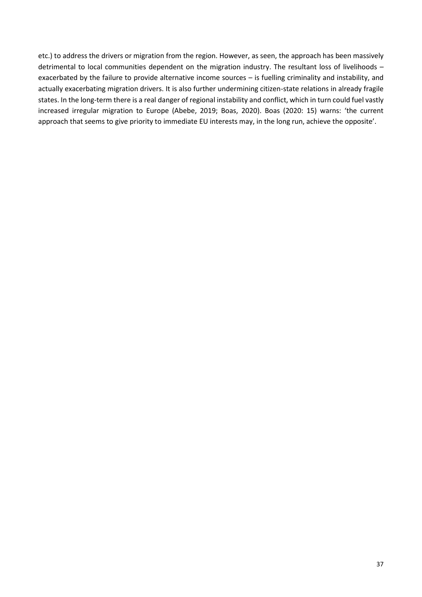etc.) to address the drivers or migration from the region. However, as seen, the approach has been massively detrimental to local communities dependent on the migration industry. The resultant loss of livelihoods – exacerbated by the failure to provide alternative income sources – is fuelling criminality and instability, and actually exacerbating migration drivers. It is also further undermining citizen-state relations in already fragile states. In the long-term there is a real danger of regional instability and conflict, which in turn could fuel vastly increased irregular migration to Europe (Abebe, 2019; Boas, 2020). Boas (2020: 15) warns: 'the current approach that seems to give priority to immediate EU interests may, in the long run, achieve the opposite'.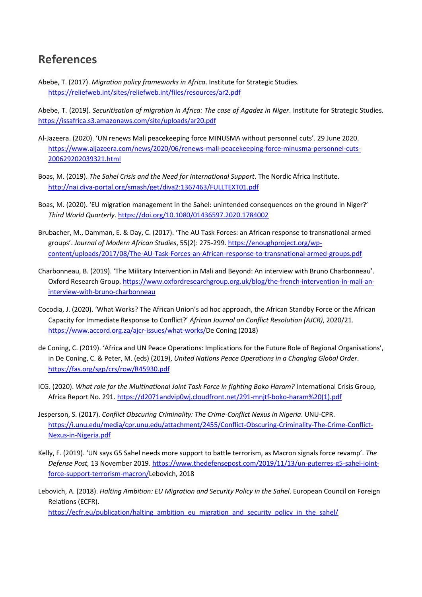## <span id="page-37-0"></span>**References**

Abebe, T. (2017). *Migration policy frameworks in Africa*. Institute for Strategic Studies. <https://reliefweb.int/sites/reliefweb.int/files/resources/ar2.pdf>

Abebe, T. (2019). *Securitisation of migration in Africa: The case of Agadez in Niger*. Institute for Strategic Studies. <https://issafrica.s3.amazonaws.com/site/uploads/ar20.pdf>

- Al-Jazeera. (2020). 'UN renews Mali peacekeeping force MINUSMA without personnel cuts'. 29 June 2020. [https://www.aljazeera.com/news/2020/06/renews-mali-peacekeeping-force-minusma-personnel-cuts-](https://www.aljazeera.com/news/2020/06/renews-mali-peacekeeping-force-minusma-personnel-cuts-200629202039321.html)[200629202039321.html](https://www.aljazeera.com/news/2020/06/renews-mali-peacekeeping-force-minusma-personnel-cuts-200629202039321.html)
- Boas, M. (2019). *The Sahel Crisis and the Need for International Support*. The Nordic Africa Institute. <http://nai.diva-portal.org/smash/get/diva2:1367463/FULLTEXT01.pdf>
- Boas, M. (2020). 'EU migration management in the Sahel: unintended consequences on the ground in Niger?' *Third World Quarterly*[. https://doi.org/10.1080/01436597.2020.1784002](https://doi.org/10.1080/01436597.2020.1784002)
- Brubacher, M., Damman, E. & Day, C. (2017). 'The AU Task Forces: an African response to transnational armed groups'. *Journal of Modern African Studies*, 55(2): 275-299[. https://enoughproject.org/wp](https://enoughproject.org/wp-content/uploads/2017/08/The-AU-Task-Forces-an-African-response-to-transnational-armed-groups.pdf)[content/uploads/2017/08/The-AU-Task-Forces-an-African-response-to-transnational-armed-groups.pdf](https://enoughproject.org/wp-content/uploads/2017/08/The-AU-Task-Forces-an-African-response-to-transnational-armed-groups.pdf)
- Charbonneau, B. (2019). 'The Military Intervention in Mali and Beyond: An interview with Bruno Charbonneau'. Oxford Research Group. [https://www.oxfordresearchgroup.org.uk/blog/the-french-intervention-in-mali-an](https://www.oxfordresearchgroup.org.uk/blog/the-french-intervention-in-mali-an-interview-with-bruno-charbonneau)[interview-with-bruno-charbonneau](https://www.oxfordresearchgroup.org.uk/blog/the-french-intervention-in-mali-an-interview-with-bruno-charbonneau)
- Cocodia, J. (2020). 'What Works? The African Union's ad hoc approach, the African Standby Force or the African Capacity for Immediate Response to Conflict?' *African Journal on Conflict Resolution (AJCR)*, 2020/21. [https://www.accord.org.za/ajcr-issues/what-works/D](https://www.accord.org.za/ajcr-issues/what-works/)e Coning (2018)
- de Coning, C. (2019). 'Africa and UN Peace Operations: Implications for the Future Role of Regional Organisations', in De Coning, C. & Peter, M. (eds) (2019), *United Nations Peace Operations in a Changing Global Order*. <https://fas.org/sgp/crs/row/R45930.pdf>
- ICG. (2020). *What role for the Multinational Joint Task Force in fighting Boko Haram?* International Crisis Group, Africa Report No. 291. [https://d2071andvip0wj.cloudfront.net/291-mnjtf-boko-haram%20\(1\).pdf](https://d2071andvip0wj.cloudfront.net/291-mnjtf-boko-haram%20(1).pdf)
- Jesperson, S. (2017). *Conflict Obscuring Criminality: The Crime-Conflict Nexus in Nigeria*. UNU-CPR. [https://i.unu.edu/media/cpr.unu.edu/attachment/2455/Conflict-Obscuring-Criminality-The-Crime-Conflict-](https://i.unu.edu/media/cpr.unu.edu/attachment/2455/Conflict-Obscuring-Criminality-The-Crime-Conflict-Nexus-in-Nigeria.pdf)[Nexus-in-Nigeria.pdf](https://i.unu.edu/media/cpr.unu.edu/attachment/2455/Conflict-Obscuring-Criminality-The-Crime-Conflict-Nexus-in-Nigeria.pdf)
- Kelly, F. (2019). 'UN says G5 Sahel needs more support to battle terrorism, as Macron signals force revamp'. *The Defense Post,* 13 November 2019. [https://www.thedefensepost.com/2019/11/13/un-guterres-g5-sahel-joint](https://www.thedefensepost.com/2019/11/13/un-guterres-g5-sahel-joint-force-support-terrorism-macron/)[force-support-terrorism-macron/L](https://www.thedefensepost.com/2019/11/13/un-guterres-g5-sahel-joint-force-support-terrorism-macron/)ebovich, 2018
- Lebovich, A. (2018). *Halting Ambition: EU Migration and Security Policy in the Sahel*. European Council on Foreign Relations (ECFR).

[https://ecfr.eu/publication/halting\\_ambition\\_eu\\_migration\\_and\\_security\\_policy\\_in\\_the\\_sahel/](https://ecfr.eu/publication/halting_ambition_eu_migration_and_security_policy_in_the_sahel/)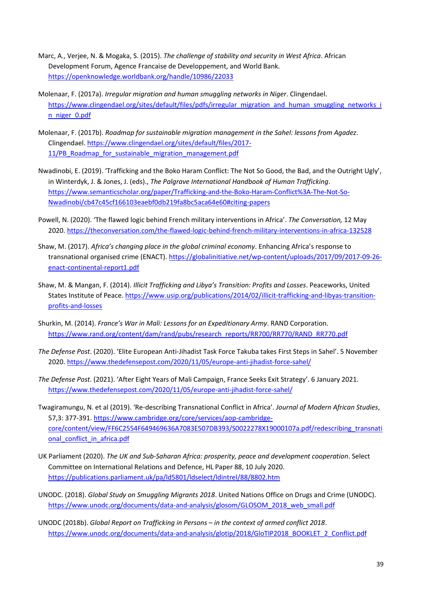- Marc, A., Verjee, N. & Mogaka, S. (2015). *The challenge of stability and security in West Africa*. African Development Forum, Agence Francaise de Developpement, and World Bank. <https://openknowledge.worldbank.org/handle/10986/22033>
- Molenaar, F. (2017a). *Irregular migration and human smuggling networks in Niger*. Clingendael. [https://www.clingendael.org/sites/default/files/pdfs/irregular\\_migration\\_and\\_human\\_smuggling\\_networks\\_i](https://www.clingendael.org/sites/default/files/pdfs/irregular_migration_and_human_smuggling_networks_in_niger_0.pdf) [n\\_niger\\_0.pdf](https://www.clingendael.org/sites/default/files/pdfs/irregular_migration_and_human_smuggling_networks_in_niger_0.pdf)
- Molenaar, F. (2017b). *Roadmap for sustainable migration management in the Sahel: lessons from Agadez*. Clingendael. [https://www.clingendael.org/sites/default/files/2017-](https://www.clingendael.org/sites/default/files/2017-11/PB_Roadmap_for_sustainable_migration_management.pdf) [11/PB\\_Roadmap\\_for\\_sustainable\\_migration\\_management.pdf](https://www.clingendael.org/sites/default/files/2017-11/PB_Roadmap_for_sustainable_migration_management.pdf)
- Nwadinobi, E. (2019). 'Trafficking and the Boko Haram Conflict: The Not So Good, the Bad, and the Outright Ugly', in Winterdyk, J. & Jones, J. (eds)., *The Palgrave International Handbook of Human Trafficking*. [https://www.semanticscholar.org/paper/Trafficking-and-the-Boko-Haram-Conflict%3A-The-Not-So-](https://www.semanticscholar.org/paper/Trafficking-and-the-Boko-Haram-Conflict%3A-The-Not-So-Nwadinobi/cb47c45cf166103eaebf0db219fa8bc5aca64e60#citing-papers)[Nwadinobi/cb47c45cf166103eaebf0db219fa8bc5aca64e60#citing-papers](https://www.semanticscholar.org/paper/Trafficking-and-the-Boko-Haram-Conflict%3A-The-Not-So-Nwadinobi/cb47c45cf166103eaebf0db219fa8bc5aca64e60#citing-papers)
- Powell, N. (2020). 'The flawed logic behind French military interventions in Africa'. *The Conversation,* 12 May 2020[. https://theconversation.com/the-flawed-logic-behind-french-military-interventions-in-africa-132528](https://theconversation.com/the-flawed-logic-behind-french-military-interventions-in-africa-132528)
- Shaw, M. (2017). *Africa's changing place in the global criminal economy*. Enhancing Africa's response to transnational organised crime (ENACT)[. https://globalinitiative.net/wp-content/uploads/2017/09/2017-09-26](https://globalinitiative.net/wp-content/uploads/2017/09/2017-09-26-enact-continental-report1.pdf) [enact-continental-report1.pdf](https://globalinitiative.net/wp-content/uploads/2017/09/2017-09-26-enact-continental-report1.pdf)
- Shaw, M. & Mangan, F. (2014). *Illicit Trafficking and Libya's Transition: Profits and Losses*. Peaceworks, United States Institute of Peace[. https://www.usip.org/publications/2014/02/illicit-trafficking-and-libyas-transition](https://www.usip.org/publications/2014/02/illicit-trafficking-and-libyas-transition-profits-and-losses)[profits-and-losses](https://www.usip.org/publications/2014/02/illicit-trafficking-and-libyas-transition-profits-and-losses)
- Shurkin, M. (2014). *France's War in Mali: Lessons for an Expeditionary Army*. RAND Corporation. [https://www.rand.org/content/dam/rand/pubs/research\\_reports/RR700/RR770/RAND\\_RR770.pdf](https://www.rand.org/content/dam/rand/pubs/research_reports/RR700/RR770/RAND_RR770.pdf)
- *The Defense Post*. (2020). 'Elite European Anti-Jihadist Task Force Takuba takes First Steps in Sahel'. 5 November 2020[. https://www.thedefensepost.com/2020/11/05/europe-anti-jihadist-force-sahel/](https://www.thedefensepost.com/2020/11/05/europe-anti-jihadist-force-sahel/)
- *The Defense Post*. (2021). 'After Eight Years of Mali Campaign, France Seeks Exit Strategy'. 6 January 2021. <https://www.thedefensepost.com/2020/11/05/europe-anti-jihadist-force-sahel/>
- Twagiramungu, N. et al (2019). 'Re-describing Transnational Conflict in Africa'. *Journal of Modern African Studies*, 57,3: 377-391. [https://www.cambridge.org/core/services/aop-cambridge](https://www.cambridge.org/core/services/aop-cambridge-core/content/view/FF6C2554F649469636A7083E507DB393/S0022278X19000107a.pdf/redescribing_transnational_conflict_in_africa.pdf)[core/content/view/FF6C2554F649469636A7083E507DB393/S0022278X19000107a.pdf/redescribing\\_transnati](https://www.cambridge.org/core/services/aop-cambridge-core/content/view/FF6C2554F649469636A7083E507DB393/S0022278X19000107a.pdf/redescribing_transnational_conflict_in_africa.pdf) onal conflict in africa.pdf
- UK Parliament (2020). *The UK and Sub-Saharan Africa: prosperity, peace and development cooperation*. Select Committee on International Relations and Defence, HL Paper 88, 10 July 2020. <https://publications.parliament.uk/pa/ld5801/ldselect/ldintrel/88/8802.htm>
- UNODC. (2018). *Global Study on Smuggling Migrants 2018*. United Nations Office on Drugs and Crime (UNODC). [https://www.unodc.org/documents/data-and-analysis/glosom/GLOSOM\\_2018\\_web\\_small.pdf](https://www.unodc.org/documents/data-and-analysis/glosom/GLOSOM_2018_web_small.pdf)
- UNODC (2018b). *Global Report on Trafficking in Persons – in the context of armed conflict 2018*. [https://www.unodc.org/documents/data-and-analysis/glotip/2018/GloTIP2018\\_BOOKLET\\_2\\_Conflict.pdf](https://www.unodc.org/documents/data-and-analysis/glotip/2018/GloTIP2018_BOOKLET_2_Conflict.pdf)